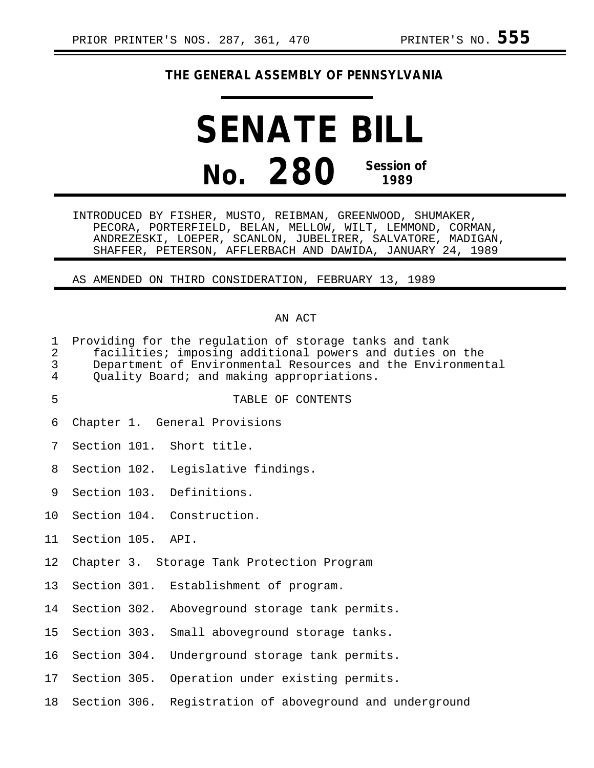# **THE GENERAL ASSEMBLY OF PENNSYLVANIA**

# **SENATE BILL No. 280 Session of 1989**

INTRODUCED BY FISHER, MUSTO, REIBMAN, GREENWOOD, SHUMAKER, PECORA, PORTERFIELD, BELAN, MELLOW, WILT, LEMMOND, CORMAN, ANDREZESKI, LOEPER, SCANLON, JUBELIRER, SALVATORE, MADIGAN, SHAFFER, PETERSON, AFFLERBACH AND DAWIDA, JANUARY 24, 1989

AS AMENDED ON THIRD CONSIDERATION, FEBRUARY 13, 1989

#### AN ACT

- 1 Providing for the regulation of storage tanks and tank 2 facilities; imposing additional powers and duties on the Department of Environmental Resources and the Environmental 4 Quality Board; and making appropriations.
- 5 TABLE OF CONTENTS
- 6 Chapter 1. General Provisions
- 7 Section 101. Short title.
- 8 Section 102. Legislative findings.
- 9 Section 103. Definitions.
- 10 Section 104. Construction.
- 11 Section 105. API.
- 12 Chapter 3. Storage Tank Protection Program
- 13 Section 301. Establishment of program.
- 14 Section 302. Aboveground storage tank permits.
- 15 Section 303. Small aboveground storage tanks.
- 16 Section 304. Underground storage tank permits.
- 17 Section 305. Operation under existing permits.
- 18 Section 306. Registration of aboveground and underground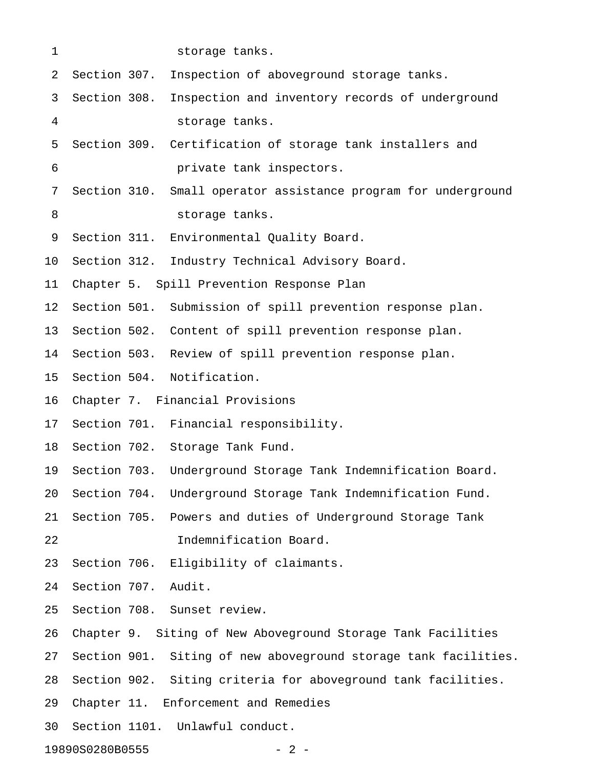| $\mathbf 1$              |              | storage tanks.                                                  |  |  |  |
|--------------------------|--------------|-----------------------------------------------------------------|--|--|--|
| 2                        | Section 307. | Inspection of aboveground storage tanks.                        |  |  |  |
| 3                        | Section 308. | Inspection and inventory records of underground                 |  |  |  |
| 4                        |              | storage tanks.                                                  |  |  |  |
| 5                        |              | Section 309. Certification of storage tank installers and       |  |  |  |
| 6                        |              | private tank inspectors.                                        |  |  |  |
| 7                        |              | Section 310. Small operator assistance program for underground  |  |  |  |
| 8                        |              | storage tanks.                                                  |  |  |  |
| 9                        |              | Section 311. Environmental Quality Board.                       |  |  |  |
| 10                       |              | Section 312. Industry Technical Advisory Board.                 |  |  |  |
| 11                       |              | Chapter 5. Spill Prevention Response Plan                       |  |  |  |
| 12 <sub>2</sub>          |              | Section 501. Submission of spill prevention response plan.      |  |  |  |
| 13                       |              | Section 502. Content of spill prevention response plan.         |  |  |  |
| 14                       |              | Section 503. Review of spill prevention response plan.          |  |  |  |
| 15                       |              | Section 504. Notification.                                      |  |  |  |
| 16                       |              | Chapter 7. Financial Provisions                                 |  |  |  |
| 17                       |              | Section 701. Financial responsibility.                          |  |  |  |
| 18                       |              | Section 702. Storage Tank Fund.                                 |  |  |  |
| 19                       | Section 703. | Underground Storage Tank Indemnification Board.                 |  |  |  |
| 20                       | Section 704. | Underground Storage Tank Indemnification Fund.                  |  |  |  |
| 21                       | Section 705. | Powers and duties of Underground Storage Tank                   |  |  |  |
| 22                       |              | Indemnification Board.                                          |  |  |  |
| 23                       | Section 706. | Eligibility of claimants.                                       |  |  |  |
| 24                       | Section 707. | Audit.                                                          |  |  |  |
| 25                       |              | Section 708. Sunset review.                                     |  |  |  |
| 26                       |              | Chapter 9. Siting of New Aboveground Storage Tank Facilities    |  |  |  |
| 27                       |              | Section 901. Siting of new aboveground storage tank facilities. |  |  |  |
| 28                       |              | Section 902. Siting criteria for aboveground tank facilities.   |  |  |  |
| 29                       |              | Chapter 11. Enforcement and Remedies                            |  |  |  |
| 30                       |              | Section 1101. Unlawful conduct.                                 |  |  |  |
| 19890S0280B0555<br>$-2-$ |              |                                                                 |  |  |  |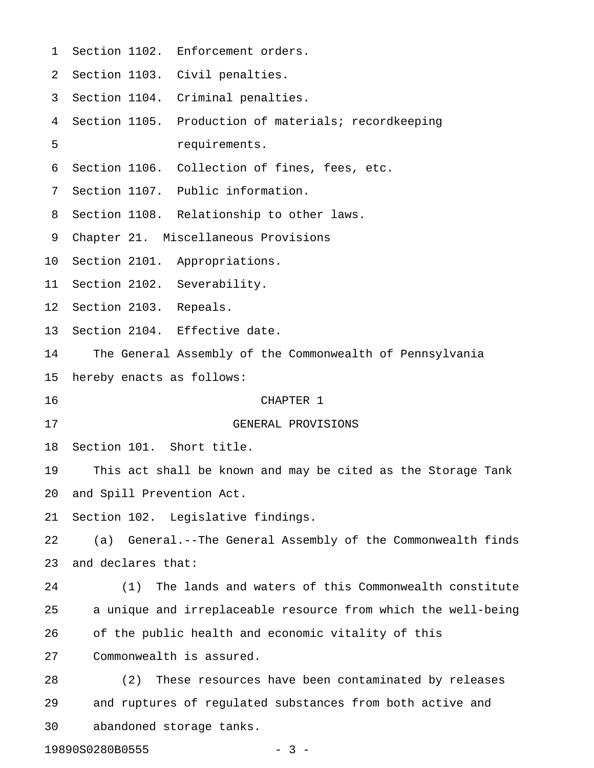| $\mathbf{1}$ |                           | Section 1102. Enforcement orders.                             |
|--------------|---------------------------|---------------------------------------------------------------|
| 2            |                           | Section 1103. Civil penalties.                                |
| 3            |                           | Section 1104. Criminal penalties.                             |
| 4            |                           | Section 1105. Production of materials; recordkeeping          |
| 5            |                           | requirements.                                                 |
| 6            |                           | Section 1106. Collection of fines, fees, etc.                 |
| 7            |                           | Section 1107. Public information.                             |
| 8            |                           | Section 1108. Relationship to other laws.                     |
| 9            |                           | Chapter 21. Miscellaneous Provisions                          |
| 10           |                           | Section 2101. Appropriations.                                 |
| 11           |                           | Section 2102. Severability.                                   |
| 12           | Section 2103. Repeals.    |                                                               |
| 13           |                           | Section 2104. Effective date.                                 |
| 14           |                           | The General Assembly of the Commonwealth of Pennsylvania      |
| 15           | hereby enacts as follows: |                                                               |
| 16           |                           | CHAPTER 1                                                     |
| 17           |                           | GENERAL PROVISIONS                                            |
| 18           | Section 101. Short title. |                                                               |
| 19           |                           | This act shall be known and may be cited as the Storage Tank  |
| 20           | and Spill Prevention Act. |                                                               |
| 21           |                           | Section 102. Legislative findings.                            |
| 22           |                           | (a) General.--The General Assembly of the Commonwealth finds  |
| 23           | and declares that:        |                                                               |
| 24           |                           | (1) The lands and waters of this Commonwealth constitute      |
| 25           |                           | a unique and irreplaceable resource from which the well-being |
| 26           |                           | of the public health and economic vitality of this            |
| 27           |                           | Commonwealth is assured.                                      |
| 28           | (2)                       | These resources have been contaminated by releases            |
| 29           |                           | and ruptures of regulated substances from both active and     |
| 30           |                           | abandoned storage tanks.                                      |
|              | 19890S0280B0555           | - 3 -                                                         |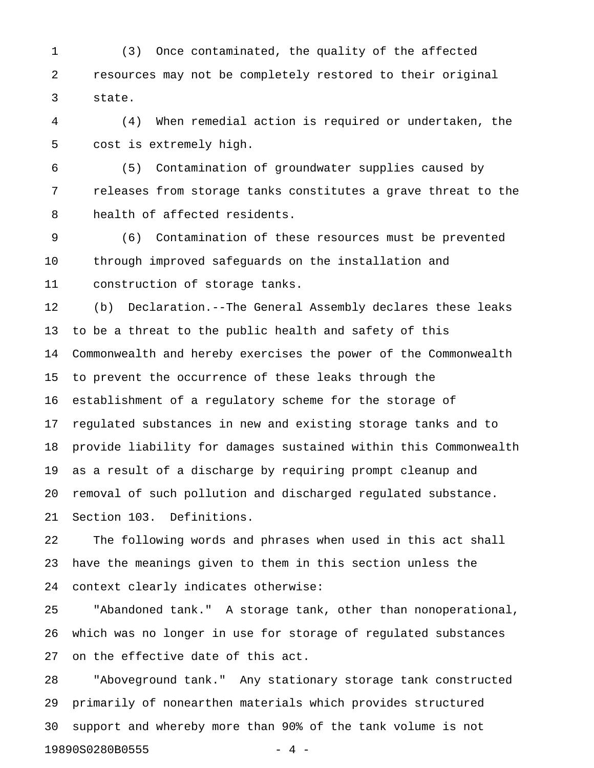1 (3) Once contaminated, the quality of the affected 2 resources may not be completely restored to their original 3 state.

4 (4) When remedial action is required or undertaken, the 5 cost is extremely high.

6 (5) Contamination of groundwater supplies caused by 7 releases from storage tanks constitutes a grave threat to the 8 health of affected residents.

9 (6) Contamination of these resources must be prevented 10 through improved safeguards on the installation and 11 construction of storage tanks.

12 (b) Declaration.--The General Assembly declares these leaks 13 to be a threat to the public health and safety of this 14 Commonwealth and hereby exercises the power of the Commonwealth 15 to prevent the occurrence of these leaks through the 16 establishment of a regulatory scheme for the storage of 17 regulated substances in new and existing storage tanks and to 18 provide liability for damages sustained within this Commonwealth 19 as a result of a discharge by requiring prompt cleanup and 20 removal of such pollution and discharged regulated substance. 21 Section 103. Definitions.

22 The following words and phrases when used in this act shall 23 have the meanings given to them in this section unless the 24 context clearly indicates otherwise:

25 "Abandoned tank." A storage tank, other than nonoperational, 26 which was no longer in use for storage of regulated substances 27 on the effective date of this act.

28 "Aboveground tank." Any stationary storage tank constructed 29 primarily of nonearthen materials which provides structured 30 support and whereby more than 90% of the tank volume is not 19890S0280B0555 - 4 -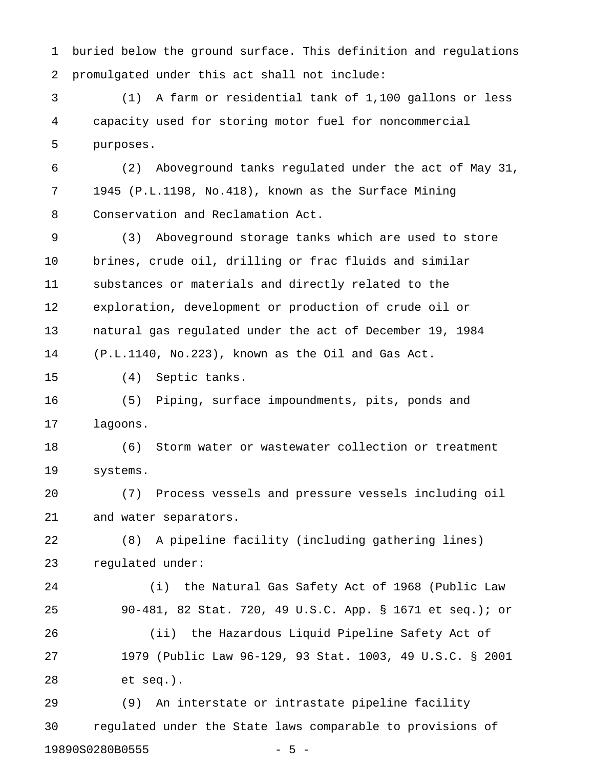1 buried below the ground surface. This definition and regulations 2 promulgated under this act shall not include:

3 (1) A farm or residential tank of 1,100 gallons or less 4 capacity used for storing motor fuel for noncommercial 5 purposes.

6 (2) Aboveground tanks regulated under the act of May 31, 7 1945 (P.L.1198, No.418), known as the Surface Mining 8 Conservation and Reclamation Act.

9 (3) Aboveground storage tanks which are used to store 10 brines, crude oil, drilling or frac fluids and similar 11 substances or materials and directly related to the 12 exploration, development or production of crude oil or 13 natural gas regulated under the act of December 19, 1984 14 (P.L.1140, No.223), known as the Oil and Gas Act.

15 (4) Septic tanks.

16 (5) Piping, surface impoundments, pits, ponds and 17 lagoons.

18 (6) Storm water or wastewater collection or treatment 19 systems.

20 (7) Process vessels and pressure vessels including oil 21 and water separators.

22 (8) A pipeline facility (including gathering lines) 23 regulated under:

24 (i) the Natural Gas Safety Act of 1968 (Public Law 25 90-481, 82 Stat. 720, 49 U.S.C. App. § 1671 et seq.); or 26 (ii) the Hazardous Liquid Pipeline Safety Act of 27 1979 (Public Law 96-129, 93 Stat. 1003, 49 U.S.C. § 2001 28 et seq.).

29 (9) An interstate or intrastate pipeline facility 30 regulated under the State laws comparable to provisions of 19890S0280B0555 - 5 -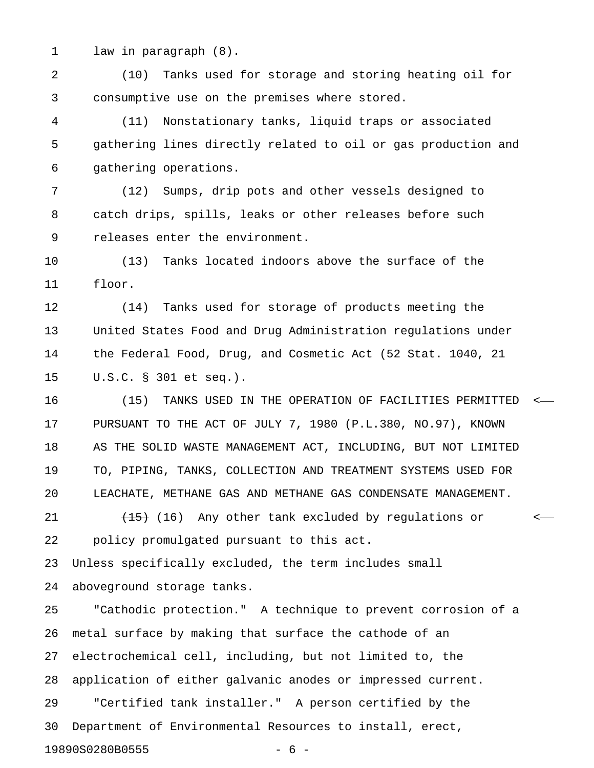1 law in paragraph (8).

2 (10) Tanks used for storage and storing heating oil for 3 consumptive use on the premises where stored.

4 (11) Nonstationary tanks, liquid traps or associated 5 gathering lines directly related to oil or gas production and 6 gathering operations.

7 (12) Sumps, drip pots and other vessels designed to 8 catch drips, spills, leaks or other releases before such 9 releases enter the environment.

10 (13) Tanks located indoors above the surface of the 11 floor.

12 (14) Tanks used for storage of products meeting the 13 United States Food and Drug Administration regulations under 14 the Federal Food, Drug, and Cosmetic Act (52 Stat. 1040, 21 15 U.S.C. § 301 et seq.).

16 (15) TANKS USED IN THE OPERATION OF FACILITIES PERMITTED < 17 PURSUANT TO THE ACT OF JULY 7, 1980 (P.L.380, NO.97), KNOWN 18 AS THE SOLID WASTE MANAGEMENT ACT, INCLUDING, BUT NOT LIMITED 19 TO, PIPING, TANKS, COLLECTION AND TREATMENT SYSTEMS USED FOR 20 LEACHATE, METHANE GAS AND METHANE GAS CONDENSATE MANAGEMENT.

21  $\left(45\right)$  (16) Any other tank excluded by regulations or  $\left(45\right)$ 22 policy promulgated pursuant to this act.

23 Unless specifically excluded, the term includes small 24 aboveground storage tanks.

25 "Cathodic protection." A technique to prevent corrosion of a 26 metal surface by making that surface the cathode of an 27 electrochemical cell, including, but not limited to, the 28 application of either galvanic anodes or impressed current. 29 "Certified tank installer." A person certified by the 30 Department of Environmental Resources to install, erect, 19890S0280B0555 - 6 -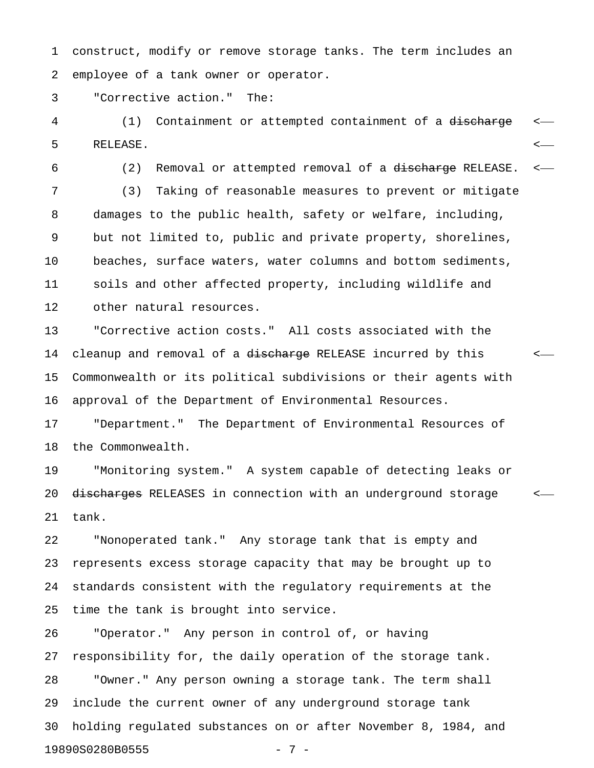1 construct, modify or remove storage tanks. The term includes an 2 employee of a tank owner or operator.

3 "Corrective action." The:

4 (1) Containment or attempted containment of a discharge <-5 RELEASE. <

6 (2) Removal or attempted removal of a discharge RELEASE. <-

7 (3) Taking of reasonable measures to prevent or mitigate 8 damages to the public health, safety or welfare, including, 9 but not limited to, public and private property, shorelines, 10 beaches, surface waters, water columns and bottom sediments, 11 soils and other affected property, including wildlife and 12 other natural resources.

13 "Corrective action costs." All costs associated with the 14 cleanup and removal of a discharge RELEASE incurred by this  $\sim$ 15 Commonwealth or its political subdivisions or their agents with 16 approval of the Department of Environmental Resources.

17 "Department." The Department of Environmental Resources of 18 the Commonwealth.

19 "Monitoring system." A system capable of detecting leaks or 20 <del>discharges</del> RELEASES in connection with an underground storage  $\sim$ 21 tank.

22 "Nonoperated tank." Any storage tank that is empty and 23 represents excess storage capacity that may be brought up to 24 standards consistent with the regulatory requirements at the 25 time the tank is brought into service.

26 "Operator." Any person in control of, or having 27 responsibility for, the daily operation of the storage tank. 28 "Owner." Any person owning a storage tank. The term shall 29 include the current owner of any underground storage tank 30 holding regulated substances on or after November 8, 1984, and 19890S0280B0555 - 7 -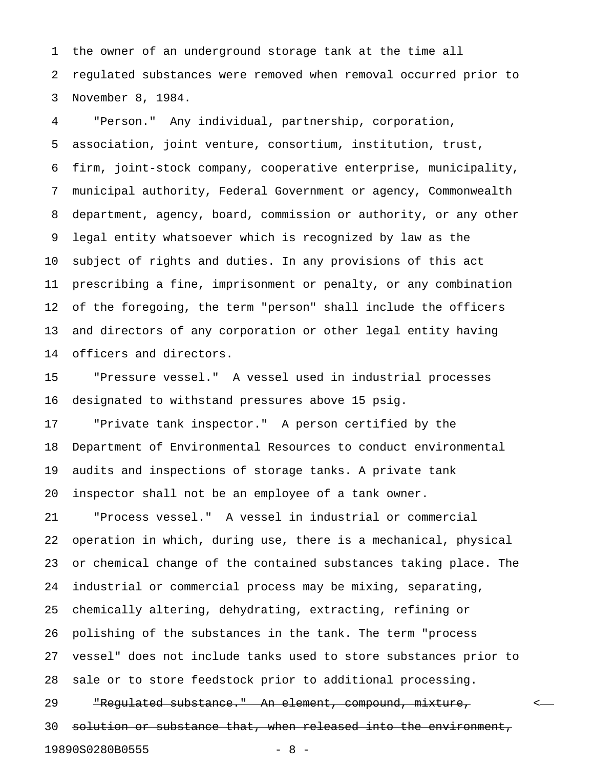1 the owner of an underground storage tank at the time all 2 regulated substances were removed when removal occurred prior to 3 November 8, 1984.

4 "Person." Any individual, partnership, corporation, 5 association, joint venture, consortium, institution, trust, 6 firm, joint-stock company, cooperative enterprise, municipality, 7 municipal authority, Federal Government or agency, Commonwealth 8 department, agency, board, commission or authority, or any other 9 legal entity whatsoever which is recognized by law as the 10 subject of rights and duties. In any provisions of this act 11 prescribing a fine, imprisonment or penalty, or any combination 12 of the foregoing, the term "person" shall include the officers 13 and directors of any corporation or other legal entity having 14 officers and directors.

15 "Pressure vessel." A vessel used in industrial processes 16 designated to withstand pressures above 15 psig.

17 "Private tank inspector." A person certified by the 18 Department of Environmental Resources to conduct environmental 19 audits and inspections of storage tanks. A private tank 20 inspector shall not be an employee of a tank owner.

21 "Process vessel." A vessel in industrial or commercial 22 operation in which, during use, there is a mechanical, physical 23 or chemical change of the contained substances taking place. The 24 industrial or commercial process may be mixing, separating, 25 chemically altering, dehydrating, extracting, refining or 26 polishing of the substances in the tank. The term "process 27 vessel" does not include tanks used to store substances prior to 28 sale or to store feedstock prior to additional processing. 29 The The Substance." An element, compound, mixture, the state of the state of the state of the state of the state of the state of the state of the state of the state of the state of the state of the state of the state of 30 solution or substance that, when released into the environment, 19890S0280B0555 - 8 -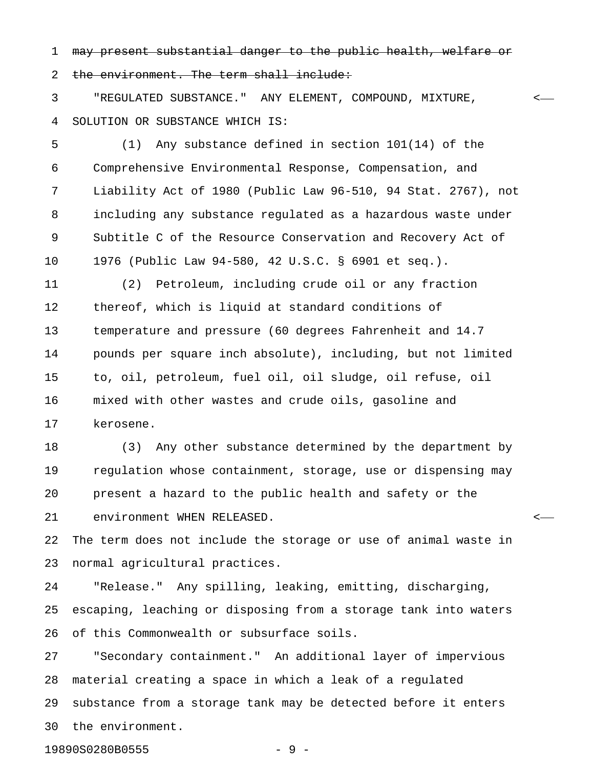1 may present substantial danger to the public health, welfare or

2 the environment. The term shall include:

3 "REGULATED SUBSTANCE." ANY ELEMENT, COMPOUND, MIXTURE, < 4 SOLUTION OR SUBSTANCE WHICH IS:

5 (1) Any substance defined in section 101(14) of the 6 Comprehensive Environmental Response, Compensation, and 7 Liability Act of 1980 (Public Law 96-510, 94 Stat. 2767), not 8 including any substance regulated as a hazardous waste under 9 Subtitle C of the Resource Conservation and Recovery Act of 10 1976 (Public Law 94-580, 42 U.S.C. § 6901 et seq.).

11 (2) Petroleum, including crude oil or any fraction 12 thereof, which is liquid at standard conditions of 13 temperature and pressure (60 degrees Fahrenheit and 14.7 14 pounds per square inch absolute), including, but not limited 15 to, oil, petroleum, fuel oil, oil sludge, oil refuse, oil 16 mixed with other wastes and crude oils, gasoline and 17 kerosene.

18 (3) Any other substance determined by the department by 19 regulation whose containment, storage, use or dispensing may 20 present a hazard to the public health and safety or the 21 environment WHEN RELEASED. <

22 The term does not include the storage or use of animal waste in 23 normal agricultural practices.

24 "Release." Any spilling, leaking, emitting, discharging, 25 escaping, leaching or disposing from a storage tank into waters 26 of this Commonwealth or subsurface soils.

27 "Secondary containment." An additional layer of impervious 28 material creating a space in which a leak of a regulated 29 substance from a storage tank may be detected before it enters 30 the environment.

19890S0280B0555 - 9 -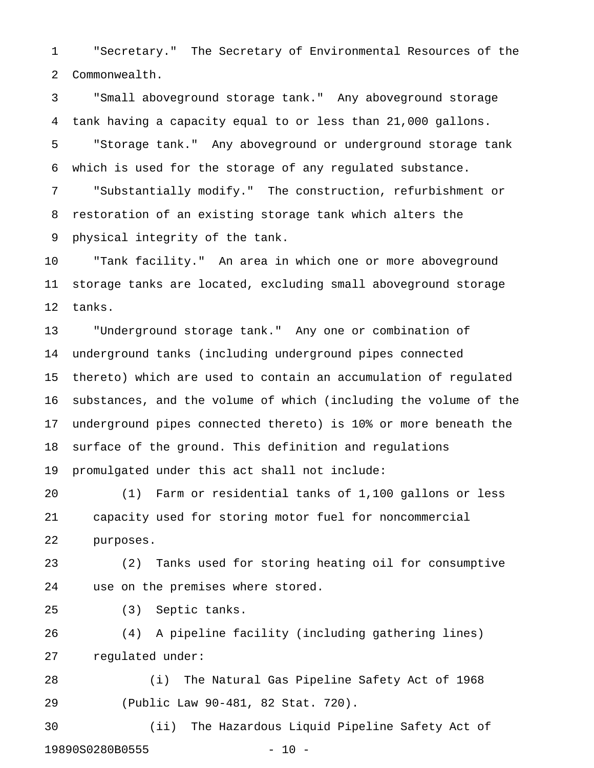1 "Secretary." The Secretary of Environmental Resources of the 2 Commonwealth.

3 "Small aboveground storage tank." Any aboveground storage 4 tank having a capacity equal to or less than 21,000 gallons. 5 "Storage tank." Any aboveground or underground storage tank 6 which is used for the storage of any regulated substance.

7 "Substantially modify." The construction, refurbishment or 8 restoration of an existing storage tank which alters the 9 physical integrity of the tank.

10 "Tank facility." An area in which one or more aboveground 11 storage tanks are located, excluding small aboveground storage 12 tanks.

13 "Underground storage tank." Any one or combination of 14 underground tanks (including underground pipes connected 15 thereto) which are used to contain an accumulation of regulated 16 substances, and the volume of which (including the volume of the 17 underground pipes connected thereto) is 10% or more beneath the 18 surface of the ground. This definition and regulations 19 promulgated under this act shall not include:

20 (1) Farm or residential tanks of 1,100 gallons or less 21 capacity used for storing motor fuel for noncommercial 22 purposes.

23 (2) Tanks used for storing heating oil for consumptive 24 use on the premises where stored.

25 (3) Septic tanks.

26 (4) A pipeline facility (including gathering lines) 27 regulated under:

28 (i) The Natural Gas Pipeline Safety Act of 1968 29 (Public Law 90-481, 82 Stat. 720).

30 (ii) The Hazardous Liquid Pipeline Safety Act of 19890S0280B0555 - 10 -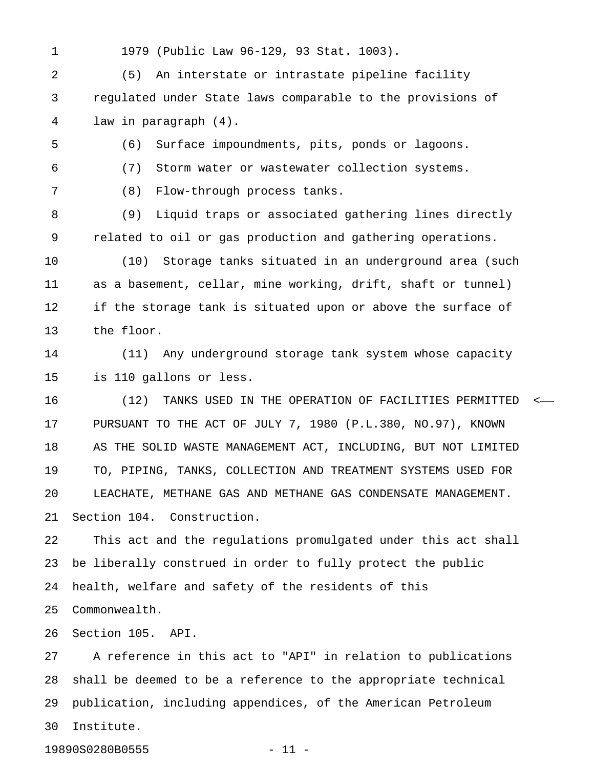1 1979 (Public Law 96-129, 93 Stat. 1003).

2 (5) An interstate or intrastate pipeline facility 3 regulated under State laws comparable to the provisions of 4 law in paragraph (4).

- 5 (6) Surface impoundments, pits, ponds or lagoons.
- 6 (7) Storm water or wastewater collection systems.

7 (8) Flow-through process tanks.

8 (9) Liquid traps or associated gathering lines directly 9 related to oil or gas production and gathering operations.

10 (10) Storage tanks situated in an underground area (such 11 as a basement, cellar, mine working, drift, shaft or tunnel) 12 if the storage tank is situated upon or above the surface of 13 the floor.

14 (11) Any underground storage tank system whose capacity 15 is 110 gallons or less.

16 (12) TANKS USED IN THE OPERATION OF FACILITIES PERMITTED < 17 PURSUANT TO THE ACT OF JULY 7, 1980 (P.L.380, NO.97), KNOWN 18 AS THE SOLID WASTE MANAGEMENT ACT, INCLUDING, BUT NOT LIMITED 19 TO, PIPING, TANKS, COLLECTION AND TREATMENT SYSTEMS USED FOR 20 LEACHATE, METHANE GAS AND METHANE GAS CONDENSATE MANAGEMENT. 21 Section 104. Construction.

22 This act and the regulations promulgated under this act shall 23 be liberally construed in order to fully protect the public 24 health, welfare and safety of the residents of this 25 Commonwealth.

26 Section 105. API.

27 A reference in this act to "API" in relation to publications 28 shall be deemed to be a reference to the appropriate technical 29 publication, including appendices, of the American Petroleum 30 Institute.

19890S0280B0555 - 11 -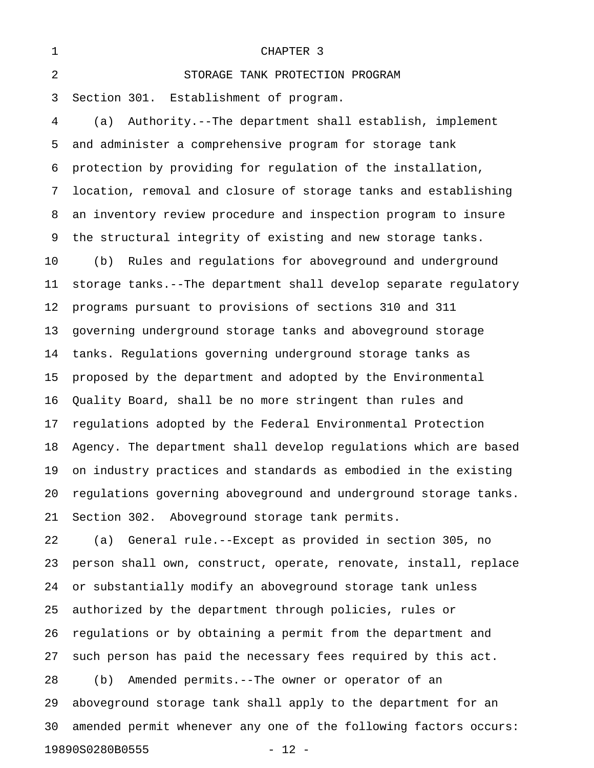| 1  | CHAPTER 3                                                        |
|----|------------------------------------------------------------------|
| 2  | STORAGE TANK PROTECTION PROGRAM                                  |
| 3  | Section 301. Establishment of program.                           |
| 4  | Authority.--The department shall establish, implement<br>(a)     |
| 5  | and administer a comprehensive program for storage tank          |
| 6  | protection by providing for regulation of the installation,      |
| 7  | location, removal and closure of storage tanks and establishing  |
| 8  | an inventory review procedure and inspection program to insure   |
| 9  | the structural integrity of existing and new storage tanks.      |
| 10 | Rules and regulations for aboveground and underground<br>(b)     |
| 11 | storage tanks.--The department shall develop separate regulatory |
| 12 | programs pursuant to provisions of sections 310 and 311          |
| 13 | governing underground storage tanks and aboveground storage      |
| 14 | tanks. Regulations governing underground storage tanks as        |
| 15 | proposed by the department and adopted by the Environmental      |
| 16 | Quality Board, shall be no more stringent than rules and         |
| 17 | regulations adopted by the Federal Environmental Protection      |
| 18 | Agency. The department shall develop regulations which are based |
| 19 | on industry practices and standards as embodied in the existing  |
| 20 | regulations governing aboveground and underground storage tanks. |
| 21 | Section 302. Aboveground storage tank permits.                   |
| 22 | General rule.--Except as provided in section 305, no<br>(a)      |
| 23 | person shall own, construct, operate, renovate, install, replace |
| 24 | or substantially modify an aboveground storage tank unless       |
| 25 | authorized by the department through policies, rules or          |
| 26 | regulations or by obtaining a permit from the department and     |
| 27 | such person has paid the necessary fees required by this act.    |
| 28 | Amended permits.--The owner or operator of an<br>(b)             |

29 aboveground storage tank shall apply to the department for an 30 amended permit whenever any one of the following factors occurs: 19890S0280B0555 - 12 -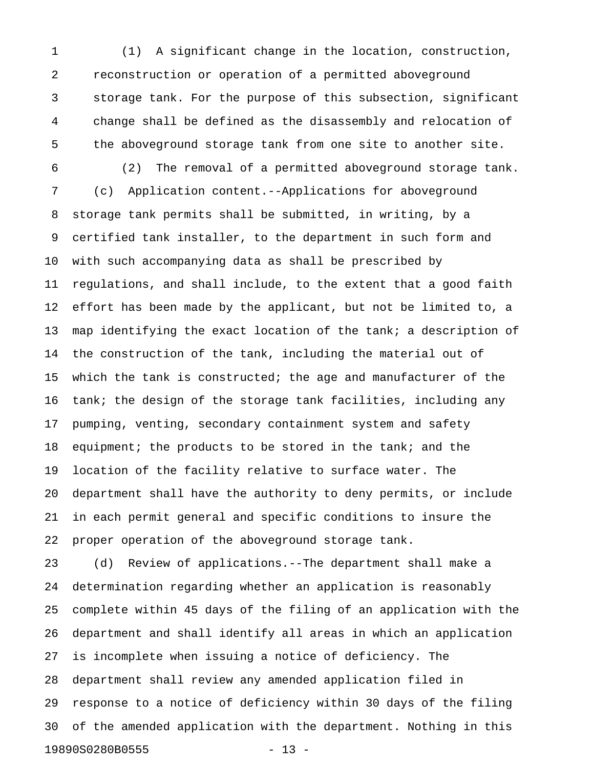1 (1) A significant change in the location, construction, 2 reconstruction or operation of a permitted aboveground 3 storage tank. For the purpose of this subsection, significant 4 change shall be defined as the disassembly and relocation of 5 the aboveground storage tank from one site to another site.

6 (2) The removal of a permitted aboveground storage tank. 7 (c) Application content.--Applications for aboveground 8 storage tank permits shall be submitted, in writing, by a 9 certified tank installer, to the department in such form and 10 with such accompanying data as shall be prescribed by 11 regulations, and shall include, to the extent that a good faith 12 effort has been made by the applicant, but not be limited to, a 13 map identifying the exact location of the tank; a description of 14 the construction of the tank, including the material out of 15 which the tank is constructed; the age and manufacturer of the 16 tank; the design of the storage tank facilities, including any 17 pumping, venting, secondary containment system and safety 18 equipment; the products to be stored in the tank; and the 19 location of the facility relative to surface water. The 20 department shall have the authority to deny permits, or include 21 in each permit general and specific conditions to insure the 22 proper operation of the aboveground storage tank.

23 (d) Review of applications.--The department shall make a 24 determination regarding whether an application is reasonably 25 complete within 45 days of the filing of an application with the 26 department and shall identify all areas in which an application 27 is incomplete when issuing a notice of deficiency. The 28 department shall review any amended application filed in 29 response to a notice of deficiency within 30 days of the filing 30 of the amended application with the department. Nothing in this 19890S0280B0555 - 13 -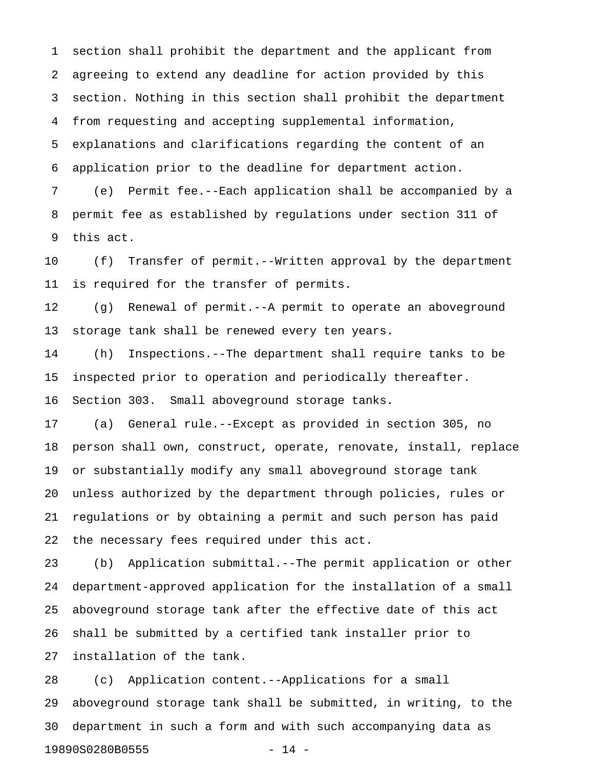1 section shall prohibit the department and the applicant from 2 agreeing to extend any deadline for action provided by this 3 section. Nothing in this section shall prohibit the department 4 from requesting and accepting supplemental information, 5 explanations and clarifications regarding the content of an 6 application prior to the deadline for department action.

7 (e) Permit fee.--Each application shall be accompanied by a 8 permit fee as established by regulations under section 311 of 9 this act.

10 (f) Transfer of permit.--Written approval by the department 11 is required for the transfer of permits.

12 (g) Renewal of permit.--A permit to operate an aboveground 13 storage tank shall be renewed every ten years.

14 (h) Inspections.--The department shall require tanks to be 15 inspected prior to operation and periodically thereafter. 16 Section 303. Small aboveground storage tanks.

17 (a) General rule.--Except as provided in section 305, no 18 person shall own, construct, operate, renovate, install, replace 19 or substantially modify any small aboveground storage tank 20 unless authorized by the department through policies, rules or 21 regulations or by obtaining a permit and such person has paid 22 the necessary fees required under this act.

23 (b) Application submittal.--The permit application or other 24 department-approved application for the installation of a small 25 aboveground storage tank after the effective date of this act 26 shall be submitted by a certified tank installer prior to 27 installation of the tank.

28 (c) Application content.--Applications for a small 29 aboveground storage tank shall be submitted, in writing, to the 30 department in such a form and with such accompanying data as 19890S0280B0555 - 14 -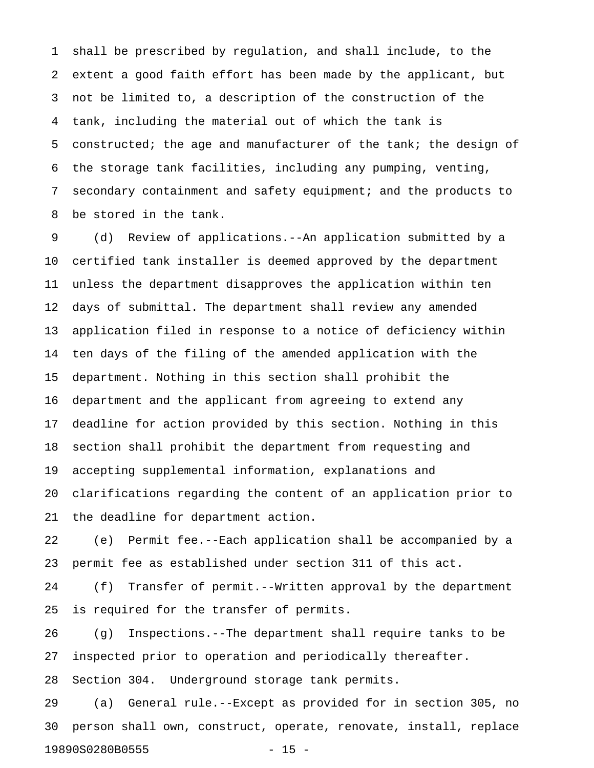1 shall be prescribed by regulation, and shall include, to the 2 extent a good faith effort has been made by the applicant, but 3 not be limited to, a description of the construction of the 4 tank, including the material out of which the tank is 5 constructed; the age and manufacturer of the tank; the design of 6 the storage tank facilities, including any pumping, venting, 7 secondary containment and safety equipment; and the products to 8 be stored in the tank.

9 (d) Review of applications.--An application submitted by a 10 certified tank installer is deemed approved by the department 11 unless the department disapproves the application within ten 12 days of submittal. The department shall review any amended 13 application filed in response to a notice of deficiency within 14 ten days of the filing of the amended application with the 15 department. Nothing in this section shall prohibit the 16 department and the applicant from agreeing to extend any 17 deadline for action provided by this section. Nothing in this 18 section shall prohibit the department from requesting and 19 accepting supplemental information, explanations and 20 clarifications regarding the content of an application prior to 21 the deadline for department action.

22 (e) Permit fee.--Each application shall be accompanied by a 23 permit fee as established under section 311 of this act.

24 (f) Transfer of permit.--Written approval by the department 25 is required for the transfer of permits.

26 (g) Inspections.--The department shall require tanks to be 27 inspected prior to operation and periodically thereafter. 28 Section 304. Underground storage tank permits.

29 (a) General rule.--Except as provided for in section 305, no 30 person shall own, construct, operate, renovate, install, replace 19890S0280B0555 - 15 -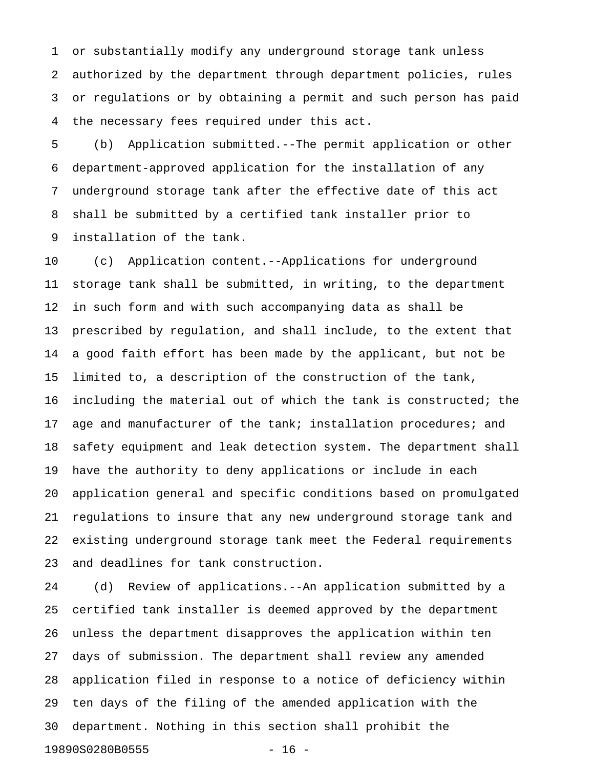1 or substantially modify any underground storage tank unless 2 authorized by the department through department policies, rules 3 or regulations or by obtaining a permit and such person has paid 4 the necessary fees required under this act.

5 (b) Application submitted.--The permit application or other 6 department-approved application for the installation of any 7 underground storage tank after the effective date of this act 8 shall be submitted by a certified tank installer prior to 9 installation of the tank.

10 (c) Application content.--Applications for underground 11 storage tank shall be submitted, in writing, to the department 12 in such form and with such accompanying data as shall be 13 prescribed by regulation, and shall include, to the extent that 14 a good faith effort has been made by the applicant, but not be 15 limited to, a description of the construction of the tank, 16 including the material out of which the tank is constructed; the 17 age and manufacturer of the tank; installation procedures; and 18 safety equipment and leak detection system. The department shall 19 have the authority to deny applications or include in each 20 application general and specific conditions based on promulgated 21 regulations to insure that any new underground storage tank and 22 existing underground storage tank meet the Federal requirements 23 and deadlines for tank construction.

24 (d) Review of applications.--An application submitted by a 25 certified tank installer is deemed approved by the department 26 unless the department disapproves the application within ten 27 days of submission. The department shall review any amended 28 application filed in response to a notice of deficiency within 29 ten days of the filing of the amended application with the 30 department. Nothing in this section shall prohibit the 19890S0280B0555 - 16 -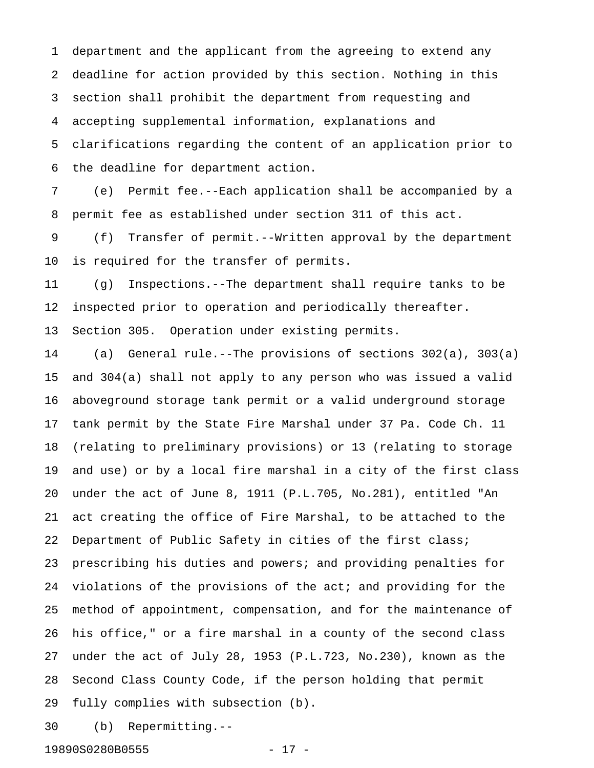1 department and the applicant from the agreeing to extend any 2 deadline for action provided by this section. Nothing in this 3 section shall prohibit the department from requesting and 4 accepting supplemental information, explanations and 5 clarifications regarding the content of an application prior to 6 the deadline for department action.

7 (e) Permit fee.--Each application shall be accompanied by a 8 permit fee as established under section 311 of this act.

9 (f) Transfer of permit.--Written approval by the department 10 is required for the transfer of permits.

11 (g) Inspections.--The department shall require tanks to be 12 inspected prior to operation and periodically thereafter.

13 Section 305. Operation under existing permits.

14 (a) General rule.--The provisions of sections 302(a), 303(a) 15 and 304(a) shall not apply to any person who was issued a valid 16 aboveground storage tank permit or a valid underground storage 17 tank permit by the State Fire Marshal under 37 Pa. Code Ch. 11 18 (relating to preliminary provisions) or 13 (relating to storage 19 and use) or by a local fire marshal in a city of the first class 20 under the act of June 8, 1911 (P.L.705, No.281), entitled "An 21 act creating the office of Fire Marshal, to be attached to the 22 Department of Public Safety in cities of the first class; 23 prescribing his duties and powers; and providing penalties for 24 violations of the provisions of the act; and providing for the 25 method of appointment, compensation, and for the maintenance of 26 his office," or a fire marshal in a county of the second class 27 under the act of July 28, 1953 (P.L.723, No.230), known as the 28 Second Class County Code, if the person holding that permit 29 fully complies with subsection (b).

30 (b) Repermitting.--

19890S0280B0555 - 17 -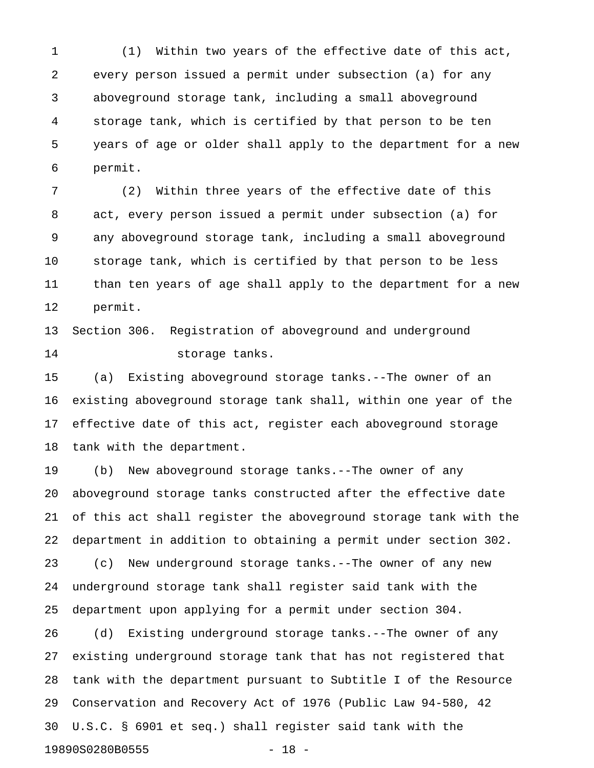1 (1) Within two years of the effective date of this act, 2 every person issued a permit under subsection (a) for any 3 aboveground storage tank, including a small aboveground 4 storage tank, which is certified by that person to be ten 5 years of age or older shall apply to the department for a new 6 permit.

7 (2) Within three years of the effective date of this 8 act, every person issued a permit under subsection (a) for 9 any aboveground storage tank, including a small aboveground 10 storage tank, which is certified by that person to be less 11 than ten years of age shall apply to the department for a new 12 permit.

13 Section 306. Registration of aboveground and underground 14 storage tanks.

15 (a) Existing aboveground storage tanks.--The owner of an 16 existing aboveground storage tank shall, within one year of the 17 effective date of this act, register each aboveground storage 18 tank with the department.

19 (b) New aboveground storage tanks.--The owner of any 20 aboveground storage tanks constructed after the effective date 21 of this act shall register the aboveground storage tank with the 22 department in addition to obtaining a permit under section 302. 23 (c) New underground storage tanks.--The owner of any new 24 underground storage tank shall register said tank with the 25 department upon applying for a permit under section 304.

26 (d) Existing underground storage tanks.--The owner of any 27 existing underground storage tank that has not registered that 28 tank with the department pursuant to Subtitle I of the Resource 29 Conservation and Recovery Act of 1976 (Public Law 94-580, 42 30 U.S.C. § 6901 et seq.) shall register said tank with the 19890S0280B0555 - 18 -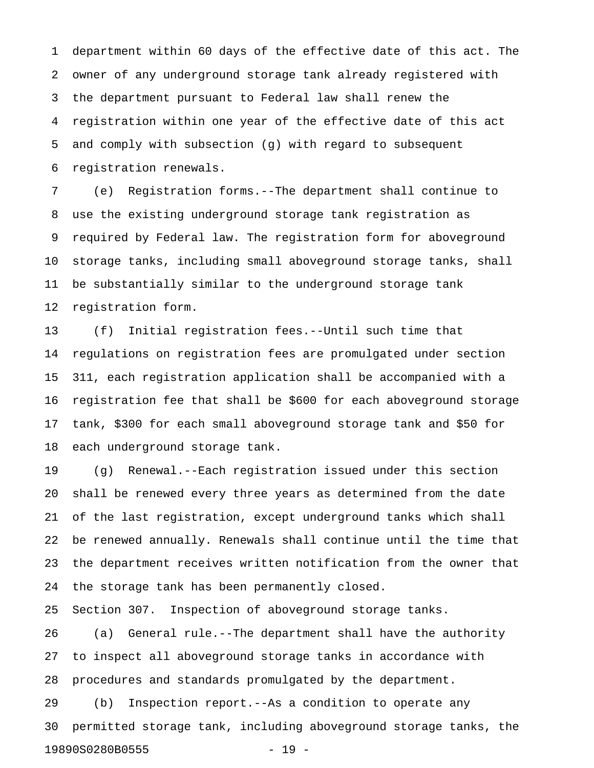1 department within 60 days of the effective date of this act. The 2 owner of any underground storage tank already registered with 3 the department pursuant to Federal law shall renew the 4 registration within one year of the effective date of this act 5 and comply with subsection (g) with regard to subsequent 6 registration renewals.

7 (e) Registration forms.--The department shall continue to 8 use the existing underground storage tank registration as 9 required by Federal law. The registration form for aboveground 10 storage tanks, including small aboveground storage tanks, shall 11 be substantially similar to the underground storage tank 12 registration form.

13 (f) Initial registration fees.--Until such time that 14 regulations on registration fees are promulgated under section 15 311, each registration application shall be accompanied with a 16 registration fee that shall be \$600 for each aboveground storage 17 tank, \$300 for each small aboveground storage tank and \$50 for 18 each underground storage tank.

19 (g) Renewal.--Each registration issued under this section 20 shall be renewed every three years as determined from the date 21 of the last registration, except underground tanks which shall 22 be renewed annually. Renewals shall continue until the time that 23 the department receives written notification from the owner that 24 the storage tank has been permanently closed.

25 Section 307. Inspection of aboveground storage tanks.

26 (a) General rule.--The department shall have the authority 27 to inspect all aboveground storage tanks in accordance with 28 procedures and standards promulgated by the department.

29 (b) Inspection report.--As a condition to operate any 30 permitted storage tank, including aboveground storage tanks, the 19890S0280B0555 - 19 -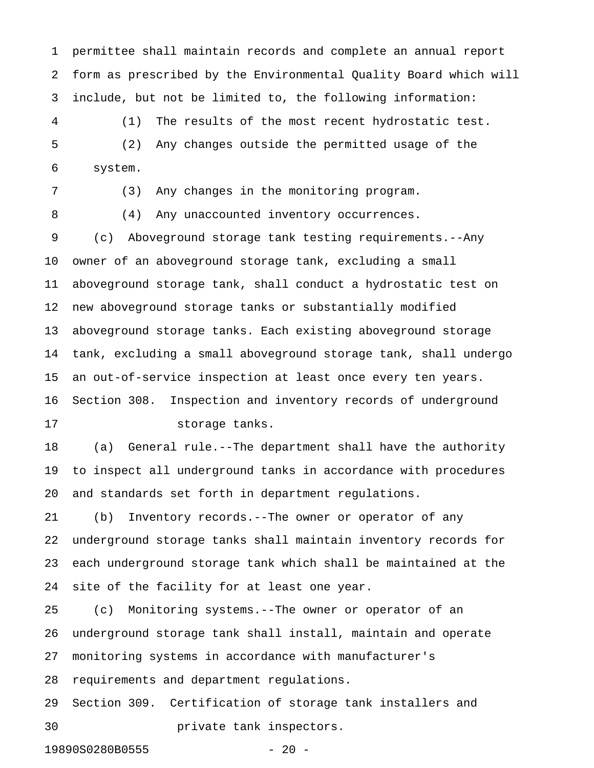1 permittee shall maintain records and complete an annual report 2 form as prescribed by the Environmental Quality Board which will 3 include, but not be limited to, the following information:

4 (1) The results of the most recent hydrostatic test. 5 (2) Any changes outside the permitted usage of the 6 system.

7 (3) Any changes in the monitoring program.

8 (4) Any unaccounted inventory occurrences.

9 (c) Aboveground storage tank testing requirements.--Any 10 owner of an aboveground storage tank, excluding a small 11 aboveground storage tank, shall conduct a hydrostatic test on 12 new aboveground storage tanks or substantially modified 13 aboveground storage tanks. Each existing aboveground storage 14 tank, excluding a small aboveground storage tank, shall undergo 15 an out-of-service inspection at least once every ten years. 16 Section 308. Inspection and inventory records of underground 17 storage tanks.

18 (a) General rule.--The department shall have the authority 19 to inspect all underground tanks in accordance with procedures 20 and standards set forth in department regulations.

21 (b) Inventory records.--The owner or operator of any 22 underground storage tanks shall maintain inventory records for 23 each underground storage tank which shall be maintained at the 24 site of the facility for at least one year.

25 (c) Monitoring systems.--The owner or operator of an 26 underground storage tank shall install, maintain and operate 27 monitoring systems in accordance with manufacturer's 28 requirements and department regulations. 29 Section 309. Certification of storage tank installers and

30 private tank inspectors.

19890S0280B0555 - 20 -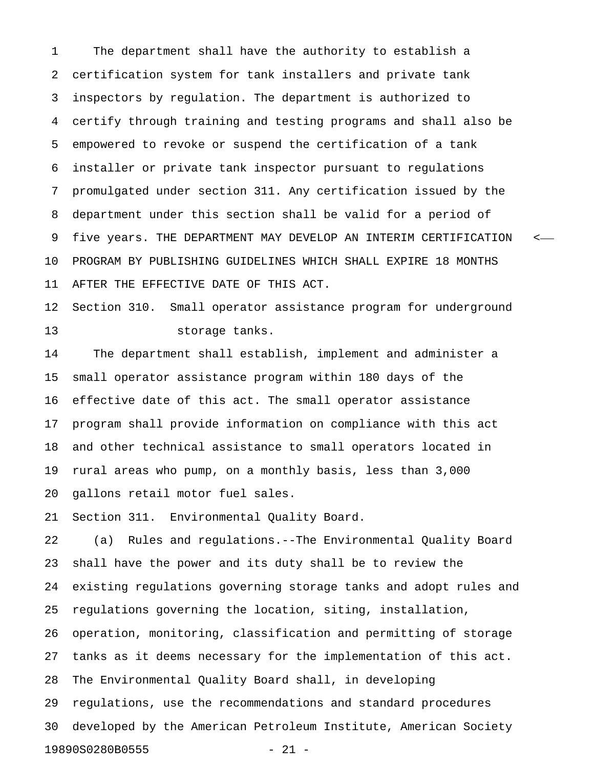1 The department shall have the authority to establish a 2 certification system for tank installers and private tank 3 inspectors by regulation. The department is authorized to 4 certify through training and testing programs and shall also be 5 empowered to revoke or suspend the certification of a tank 6 installer or private tank inspector pursuant to regulations 7 promulgated under section 311. Any certification issued by the 8 department under this section shall be valid for a period of 9 five years. THE DEPARTMENT MAY DEVELOP AN INTERIM CERTIFICATION < 10 PROGRAM BY PUBLISHING GUIDELINES WHICH SHALL EXPIRE 18 MONTHS 11 AFTER THE EFFECTIVE DATE OF THIS ACT.

12 Section 310. Small operator assistance program for underground 13 storage tanks.

14 The department shall establish, implement and administer a 15 small operator assistance program within 180 days of the 16 effective date of this act. The small operator assistance 17 program shall provide information on compliance with this act 18 and other technical assistance to small operators located in 19 rural areas who pump, on a monthly basis, less than 3,000 20 gallons retail motor fuel sales.

21 Section 311. Environmental Quality Board.

22 (a) Rules and regulations.--The Environmental Quality Board 23 shall have the power and its duty shall be to review the 24 existing regulations governing storage tanks and adopt rules and 25 regulations governing the location, siting, installation, 26 operation, monitoring, classification and permitting of storage 27 tanks as it deems necessary for the implementation of this act. 28 The Environmental Quality Board shall, in developing 29 regulations, use the recommendations and standard procedures 30 developed by the American Petroleum Institute, American Society 19890S0280B0555 - 21 -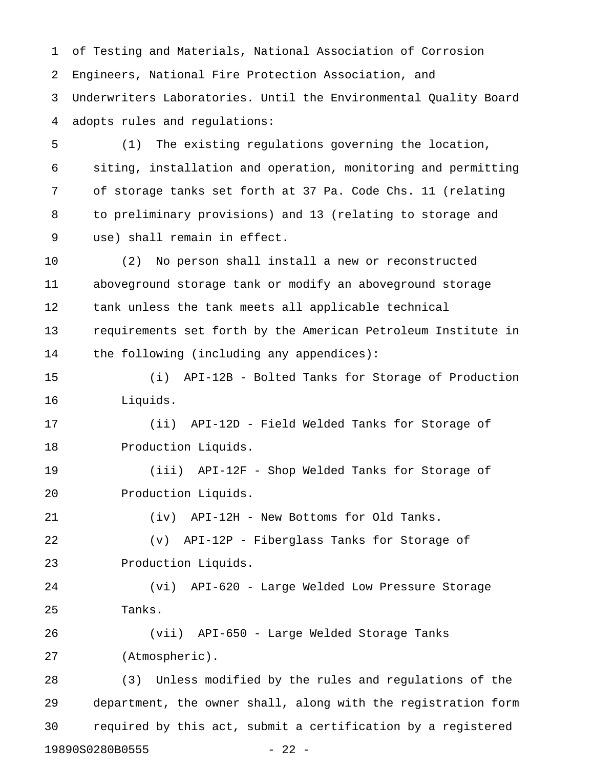1 of Testing and Materials, National Association of Corrosion 2 Engineers, National Fire Protection Association, and 3 Underwriters Laboratories. Until the Environmental Quality Board 4 adopts rules and regulations:

5 (1) The existing regulations governing the location, 6 siting, installation and operation, monitoring and permitting 7 of storage tanks set forth at 37 Pa. Code Chs. 11 (relating 8 to preliminary provisions) and 13 (relating to storage and 9 use) shall remain in effect.

10 (2) No person shall install a new or reconstructed 11 aboveground storage tank or modify an aboveground storage 12 tank unless the tank meets all applicable technical 13 requirements set forth by the American Petroleum Institute in 14 the following (including any appendices):

15 (i) API-12B - Bolted Tanks for Storage of Production 16 Liquids.

17 (ii) API-12D - Field Welded Tanks for Storage of 18 Production Liquids.

19 (iii) API-12F - Shop Welded Tanks for Storage of 20 Production Liquids.

21 (iv) API-12H - New Bottoms for Old Tanks.

22 (v) API-12P - Fiberglass Tanks for Storage of 23 Production Liquids.

24 (vi) API-620 - Large Welded Low Pressure Storage 25 Tanks.

26 (vii) API-650 - Large Welded Storage Tanks 27 (Atmospheric).

28 (3) Unless modified by the rules and regulations of the 29 department, the owner shall, along with the registration form 30 required by this act, submit a certification by a registered 19890S0280B0555 - 22 -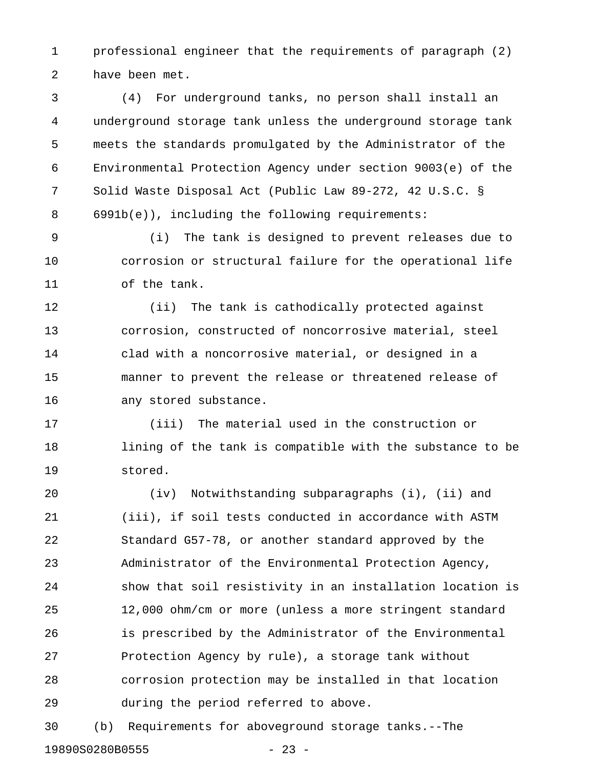1 professional engineer that the requirements of paragraph (2) 2 have been met.

3 (4) For underground tanks, no person shall install an 4 underground storage tank unless the underground storage tank 5 meets the standards promulgated by the Administrator of the 6 Environmental Protection Agency under section 9003(e) of the 7 Solid Waste Disposal Act (Public Law 89-272, 42 U.S.C. § 8 6991b(e)), including the following requirements:

9 (i) The tank is designed to prevent releases due to 10 corrosion or structural failure for the operational life 11 of the tank.

12 (ii) The tank is cathodically protected against 13 corrosion, constructed of noncorrosive material, steel 14 clad with a noncorrosive material, or designed in a 15 manner to prevent the release or threatened release of 16 any stored substance.

17 (iii) The material used in the construction or 18 lining of the tank is compatible with the substance to be 19 stored.

20 (iv) Notwithstanding subparagraphs (i), (ii) and 21 (iii), if soil tests conducted in accordance with ASTM 22 Standard G57-78, or another standard approved by the 23 Administrator of the Environmental Protection Agency, 24 show that soil resistivity in an installation location is 25 12,000 ohm/cm or more (unless a more stringent standard 26 is prescribed by the Administrator of the Environmental 27 Protection Agency by rule), a storage tank without 28 corrosion protection may be installed in that location 29 during the period referred to above.

30 (b) Requirements for aboveground storage tanks.--The 19890S0280B0555 - 23 -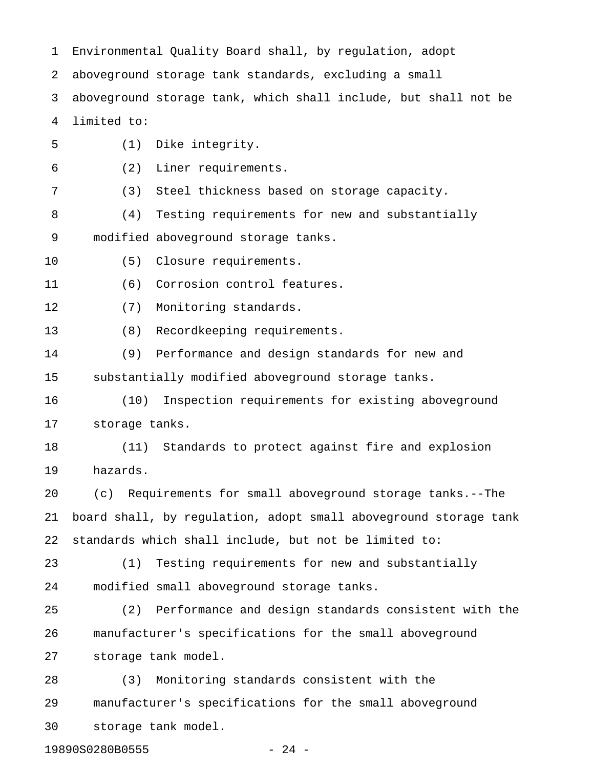1 Environmental Quality Board shall, by regulation, adopt 2 aboveground storage tank standards, excluding a small 3 aboveground storage tank, which shall include, but shall not be 4 limited to: 5 (1) Dike integrity. 6 (2) Liner requirements. 7 (3) Steel thickness based on storage capacity. 8 (4) Testing requirements for new and substantially 9 modified aboveground storage tanks. 10 (5) Closure requirements. 11 (6) Corrosion control features. 12 (7) Monitoring standards. 13 (8) Recordkeeping requirements. 14 (9) Performance and design standards for new and 15 substantially modified aboveground storage tanks. 16 (10) Inspection requirements for existing aboveground 17 storage tanks. 18 (11) Standards to protect against fire and explosion 19 hazards. 20 (c) Requirements for small aboveground storage tanks.--The 21 board shall, by regulation, adopt small aboveground storage tank 22 standards which shall include, but not be limited to: 23 (1) Testing requirements for new and substantially 24 modified small aboveground storage tanks. 25 (2) Performance and design standards consistent with the 26 manufacturer's specifications for the small aboveground 27 storage tank model. 28 (3) Monitoring standards consistent with the 29 manufacturer's specifications for the small aboveground 30 storage tank model.

19890S0280B0555 - 24 -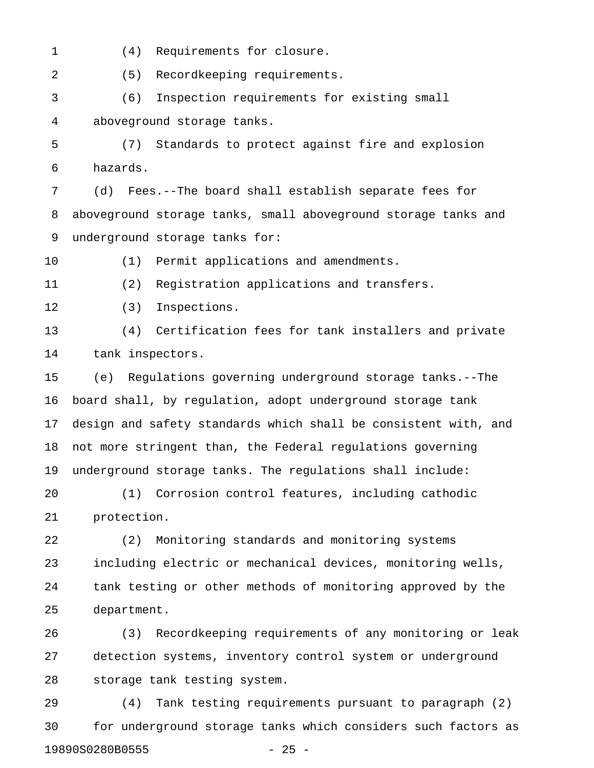- 
- 1 (4) Requirements for closure.

2 (5) Recordkeeping requirements.

3 (6) Inspection requirements for existing small 4 aboveground storage tanks.

5 (7) Standards to protect against fire and explosion 6 hazards.

7 (d) Fees.--The board shall establish separate fees for 8 aboveground storage tanks, small aboveground storage tanks and 9 underground storage tanks for:

10 (1) Permit applications and amendments.

11 (2) Registration applications and transfers.

12 (3) Inspections.

13 (4) Certification fees for tank installers and private 14 tank inspectors.

15 (e) Regulations governing underground storage tanks.--The 16 board shall, by regulation, adopt underground storage tank 17 design and safety standards which shall be consistent with, and 18 not more stringent than, the Federal regulations governing 19 underground storage tanks. The regulations shall include:

20 (1) Corrosion control features, including cathodic 21 protection.

22 (2) Monitoring standards and monitoring systems 23 including electric or mechanical devices, monitoring wells, 24 tank testing or other methods of monitoring approved by the 25 department.

26 (3) Recordkeeping requirements of any monitoring or leak 27 detection systems, inventory control system or underground 28 storage tank testing system.

29 (4) Tank testing requirements pursuant to paragraph (2) 30 for underground storage tanks which considers such factors as 19890S0280B0555 - 25 -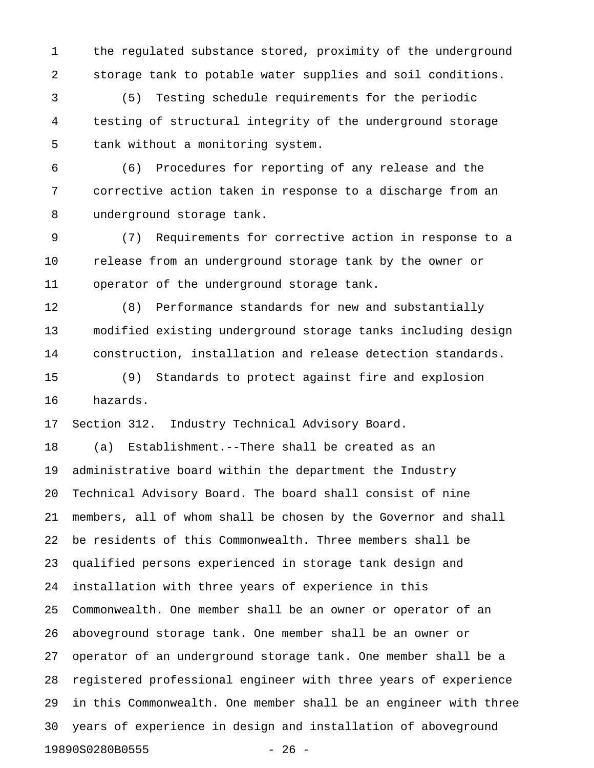1 the regulated substance stored, proximity of the underground 2 storage tank to potable water supplies and soil conditions.

3 (5) Testing schedule requirements for the periodic 4 testing of structural integrity of the underground storage 5 tank without a monitoring system.

6 (6) Procedures for reporting of any release and the 7 corrective action taken in response to a discharge from an 8 underground storage tank.

9 (7) Requirements for corrective action in response to a 10 release from an underground storage tank by the owner or 11 operator of the underground storage tank.

12 (8) Performance standards for new and substantially 13 modified existing underground storage tanks including design 14 construction, installation and release detection standards.

15 (9) Standards to protect against fire and explosion 16 hazards.

17 Section 312. Industry Technical Advisory Board.

18 (a) Establishment.--There shall be created as an 19 administrative board within the department the Industry 20 Technical Advisory Board. The board shall consist of nine 21 members, all of whom shall be chosen by the Governor and shall 22 be residents of this Commonwealth. Three members shall be 23 qualified persons experienced in storage tank design and 24 installation with three years of experience in this 25 Commonwealth. One member shall be an owner or operator of an 26 aboveground storage tank. One member shall be an owner or 27 operator of an underground storage tank. One member shall be a 28 registered professional engineer with three years of experience 29 in this Commonwealth. One member shall be an engineer with three 30 years of experience in design and installation of aboveground 19890S0280B0555 - 26 -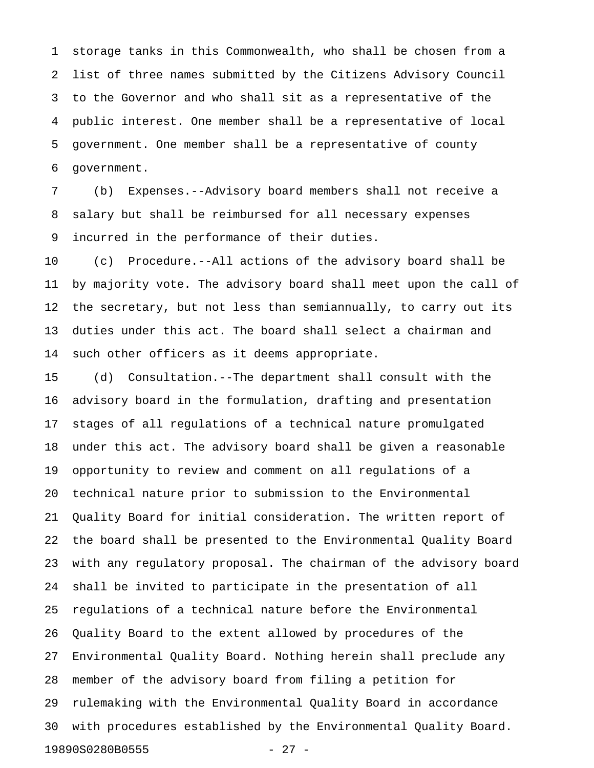1 storage tanks in this Commonwealth, who shall be chosen from a 2 list of three names submitted by the Citizens Advisory Council 3 to the Governor and who shall sit as a representative of the 4 public interest. One member shall be a representative of local 5 government. One member shall be a representative of county 6 government.

7 (b) Expenses.--Advisory board members shall not receive a 8 salary but shall be reimbursed for all necessary expenses 9 incurred in the performance of their duties.

10 (c) Procedure.--All actions of the advisory board shall be 11 by majority vote. The advisory board shall meet upon the call of 12 the secretary, but not less than semiannually, to carry out its 13 duties under this act. The board shall select a chairman and 14 such other officers as it deems appropriate.

15 (d) Consultation.--The department shall consult with the 16 advisory board in the formulation, drafting and presentation 17 stages of all regulations of a technical nature promulgated 18 under this act. The advisory board shall be given a reasonable 19 opportunity to review and comment on all regulations of a 20 technical nature prior to submission to the Environmental 21 Quality Board for initial consideration. The written report of 22 the board shall be presented to the Environmental Quality Board 23 with any regulatory proposal. The chairman of the advisory board 24 shall be invited to participate in the presentation of all 25 regulations of a technical nature before the Environmental 26 Quality Board to the extent allowed by procedures of the 27 Environmental Quality Board. Nothing herein shall preclude any 28 member of the advisory board from filing a petition for 29 rulemaking with the Environmental Quality Board in accordance 30 with procedures established by the Environmental Quality Board. 19890S0280B0555 - 27 -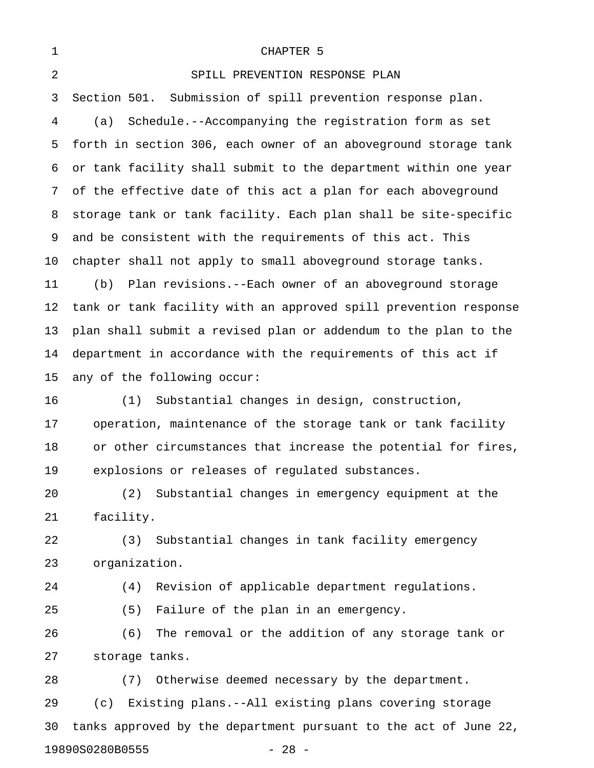| $\mathbf 1$    | CHAPTER 5                                                        |
|----------------|------------------------------------------------------------------|
| $\overline{2}$ | SPILL PREVENTION RESPONSE PLAN                                   |
| 3              | Section 501. Submission of spill prevention response plan.       |
| 4              | Schedule.--Accompanying the registration form as set<br>(a)      |
| 5              | forth in section 306, each owner of an aboveground storage tank  |
| 6              | or tank facility shall submit to the department within one year  |
| 7              | of the effective date of this act a plan for each aboveground    |
| 8              | storage tank or tank facility. Each plan shall be site-specific  |
| 9              | and be consistent with the requirements of this act. This        |
| 10             | chapter shall not apply to small aboveground storage tanks.      |
| 11             | Plan revisions.--Each owner of an aboveground storage<br>(b)     |
| 12             | tank or tank facility with an approved spill prevention response |
| 13             | plan shall submit a revised plan or addendum to the plan to the  |
| 14             | department in accordance with the requirements of this act if    |
| 15             | any of the following occur:                                      |
| 16             | Substantial changes in design, construction,<br>(1)              |
| 17             | operation, maintenance of the storage tank or tank facility      |
| 18             | or other circumstances that increase the potential for fires,    |
| 19             | explosions or releases of regulated substances.                  |
| 20             | Substantial changes in emergency equipment at the<br>(2)         |
| 21             | facility.                                                        |
| 22             | Substantial changes in tank facility emergency<br>(3)            |
| 23             | organization.                                                    |
| 24             | Revision of applicable department regulations.<br>(4)            |
| 25             | (5)<br>Failure of the plan in an emergency.                      |
| 26             | (6)<br>The removal or the addition of any storage tank or        |
| 27             | storage tanks.                                                   |
| 28             | Otherwise deemed necessary by the department.<br>(7)             |
| 29             | Existing plans.--All existing plans covering storage<br>(c)      |
| 30             | tanks approved by the department pursuant to the act of June 22, |

19890S0280B0555 - 28 -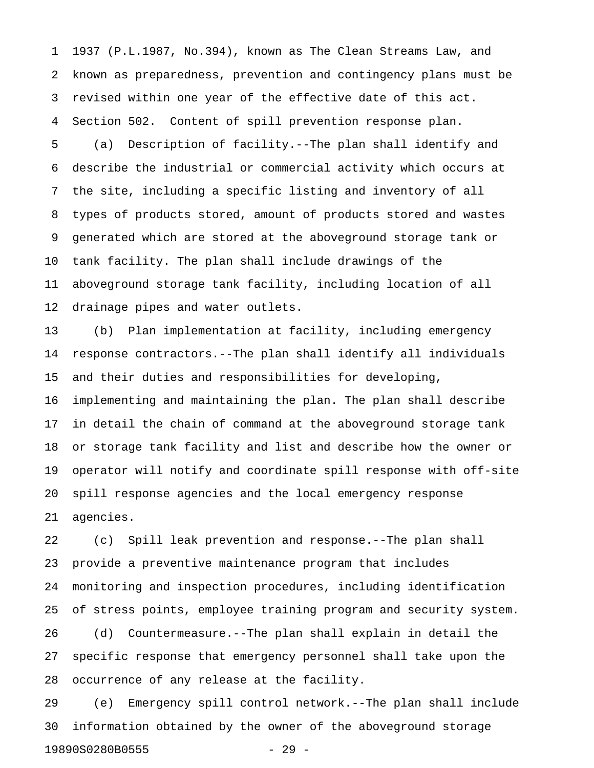1 1937 (P.L.1987, No.394), known as The Clean Streams Law, and 2 known as preparedness, prevention and contingency plans must be 3 revised within one year of the effective date of this act. 4 Section 502. Content of spill prevention response plan.

5 (a) Description of facility.--The plan shall identify and 6 describe the industrial or commercial activity which occurs at 7 the site, including a specific listing and inventory of all 8 types of products stored, amount of products stored and wastes 9 generated which are stored at the aboveground storage tank or 10 tank facility. The plan shall include drawings of the 11 aboveground storage tank facility, including location of all 12 drainage pipes and water outlets.

13 (b) Plan implementation at facility, including emergency 14 response contractors.--The plan shall identify all individuals 15 and their duties and responsibilities for developing, 16 implementing and maintaining the plan. The plan shall describe 17 in detail the chain of command at the aboveground storage tank 18 or storage tank facility and list and describe how the owner or 19 operator will notify and coordinate spill response with off-site 20 spill response agencies and the local emergency response 21 agencies.

22 (c) Spill leak prevention and response.--The plan shall 23 provide a preventive maintenance program that includes 24 monitoring and inspection procedures, including identification 25 of stress points, employee training program and security system. 26 (d) Countermeasure.--The plan shall explain in detail the

27 specific response that emergency personnel shall take upon the 28 occurrence of any release at the facility.

29 (e) Emergency spill control network.--The plan shall include 30 information obtained by the owner of the aboveground storage 19890S0280B0555 - 29 -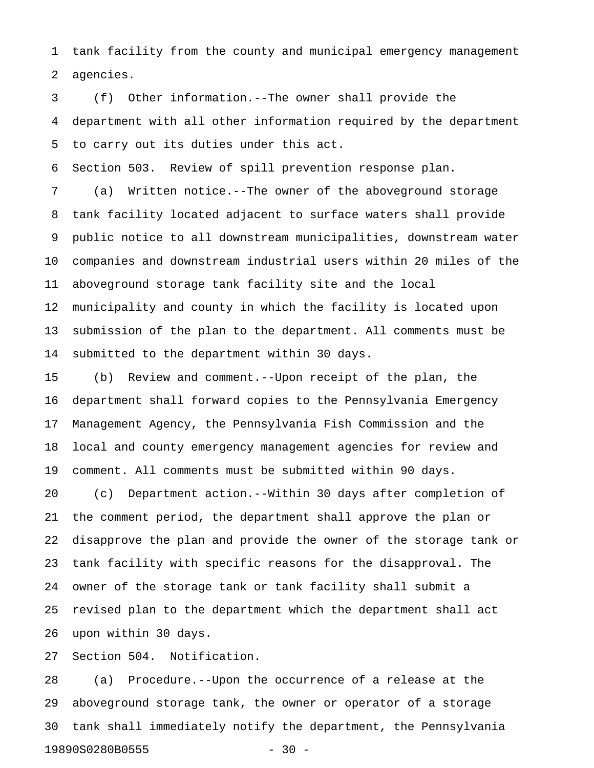1 tank facility from the county and municipal emergency management 2 agencies.

3 (f) Other information.--The owner shall provide the 4 department with all other information required by the department 5 to carry out its duties under this act.

6 Section 503. Review of spill prevention response plan.

7 (a) Written notice.--The owner of the aboveground storage 8 tank facility located adjacent to surface waters shall provide 9 public notice to all downstream municipalities, downstream water 10 companies and downstream industrial users within 20 miles of the 11 aboveground storage tank facility site and the local 12 municipality and county in which the facility is located upon 13 submission of the plan to the department. All comments must be 14 submitted to the department within 30 days.

15 (b) Review and comment.--Upon receipt of the plan, the 16 department shall forward copies to the Pennsylvania Emergency 17 Management Agency, the Pennsylvania Fish Commission and the 18 local and county emergency management agencies for review and 19 comment. All comments must be submitted within 90 days.

20 (c) Department action.--Within 30 days after completion of 21 the comment period, the department shall approve the plan or 22 disapprove the plan and provide the owner of the storage tank or 23 tank facility with specific reasons for the disapproval. The 24 owner of the storage tank or tank facility shall submit a 25 revised plan to the department which the department shall act 26 upon within 30 days.

27 Section 504. Notification.

28 (a) Procedure.--Upon the occurrence of a release at the 29 aboveground storage tank, the owner or operator of a storage 30 tank shall immediately notify the department, the Pennsylvania 19890S0280B0555 - 30 -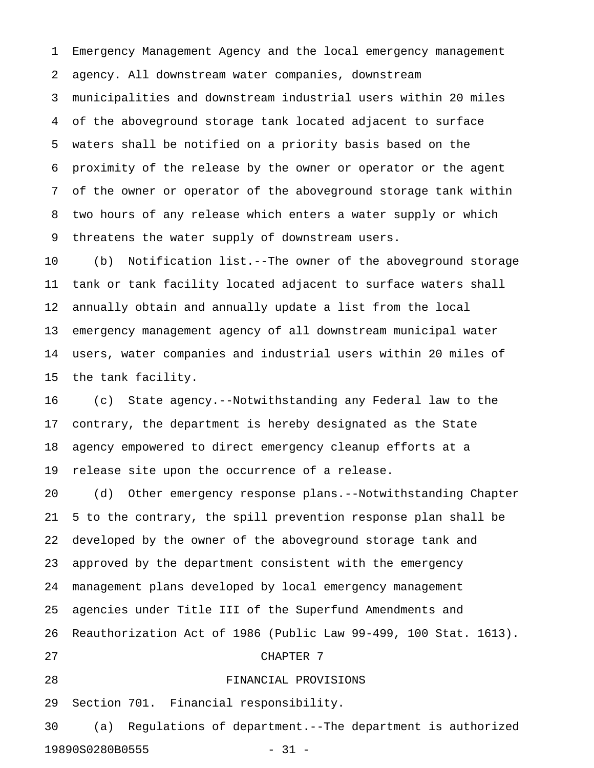1 Emergency Management Agency and the local emergency management 2 agency. All downstream water companies, downstream 3 municipalities and downstream industrial users within 20 miles 4 of the aboveground storage tank located adjacent to surface 5 waters shall be notified on a priority basis based on the 6 proximity of the release by the owner or operator or the agent 7 of the owner or operator of the aboveground storage tank within 8 two hours of any release which enters a water supply or which 9 threatens the water supply of downstream users.

10 (b) Notification list.--The owner of the aboveground storage 11 tank or tank facility located adjacent to surface waters shall 12 annually obtain and annually update a list from the local 13 emergency management agency of all downstream municipal water 14 users, water companies and industrial users within 20 miles of 15 the tank facility.

16 (c) State agency.--Notwithstanding any Federal law to the 17 contrary, the department is hereby designated as the State 18 agency empowered to direct emergency cleanup efforts at a 19 release site upon the occurrence of a release.

20 (d) Other emergency response plans.--Notwithstanding Chapter 21 5 to the contrary, the spill prevention response plan shall be 22 developed by the owner of the aboveground storage tank and 23 approved by the department consistent with the emergency 24 management plans developed by local emergency management 25 agencies under Title III of the Superfund Amendments and 26 Reauthorization Act of 1986 (Public Law 99-499, 100 Stat. 1613). 27 CHAPTER 7 28 FINANCIAL PROVISIONS

29 Section 701. Financial responsibility.

30 (a) Regulations of department.--The department is authorized 19890S0280B0555 - 31 -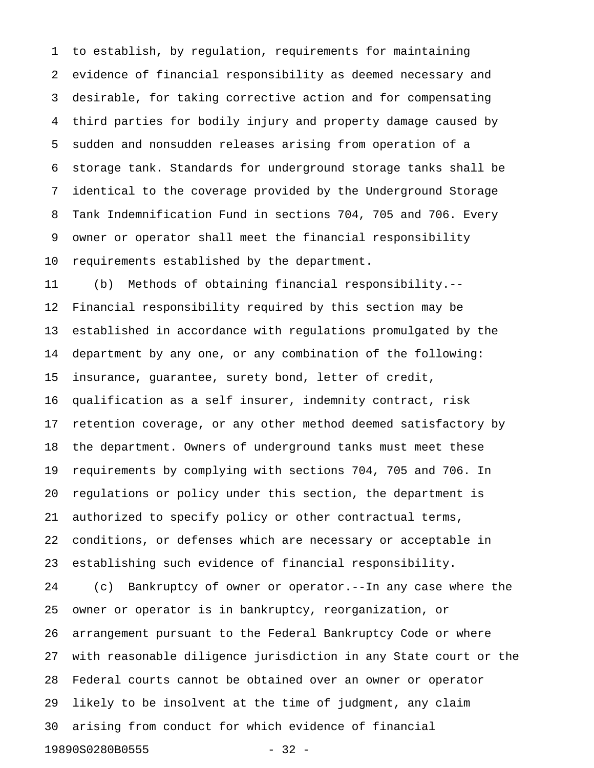1 to establish, by regulation, requirements for maintaining 2 evidence of financial responsibility as deemed necessary and 3 desirable, for taking corrective action and for compensating 4 third parties for bodily injury and property damage caused by 5 sudden and nonsudden releases arising from operation of a 6 storage tank. Standards for underground storage tanks shall be 7 identical to the coverage provided by the Underground Storage 8 Tank Indemnification Fund in sections 704, 705 and 706. Every 9 owner or operator shall meet the financial responsibility 10 requirements established by the department.

11 (b) Methods of obtaining financial responsibility.-- 12 Financial responsibility required by this section may be 13 established in accordance with regulations promulgated by the 14 department by any one, or any combination of the following: 15 insurance, guarantee, surety bond, letter of credit, 16 qualification as a self insurer, indemnity contract, risk 17 retention coverage, or any other method deemed satisfactory by 18 the department. Owners of underground tanks must meet these 19 requirements by complying with sections 704, 705 and 706. In 20 regulations or policy under this section, the department is 21 authorized to specify policy or other contractual terms, 22 conditions, or defenses which are necessary or acceptable in 23 establishing such evidence of financial responsibility. 24 (c) Bankruptcy of owner or operator.--In any case where the 25 owner or operator is in bankruptcy, reorganization, or 26 arrangement pursuant to the Federal Bankruptcy Code or where

27 with reasonable diligence jurisdiction in any State court or the 28 Federal courts cannot be obtained over an owner or operator 29 likely to be insolvent at the time of judgment, any claim 30 arising from conduct for which evidence of financial

19890S0280B0555 - 32 -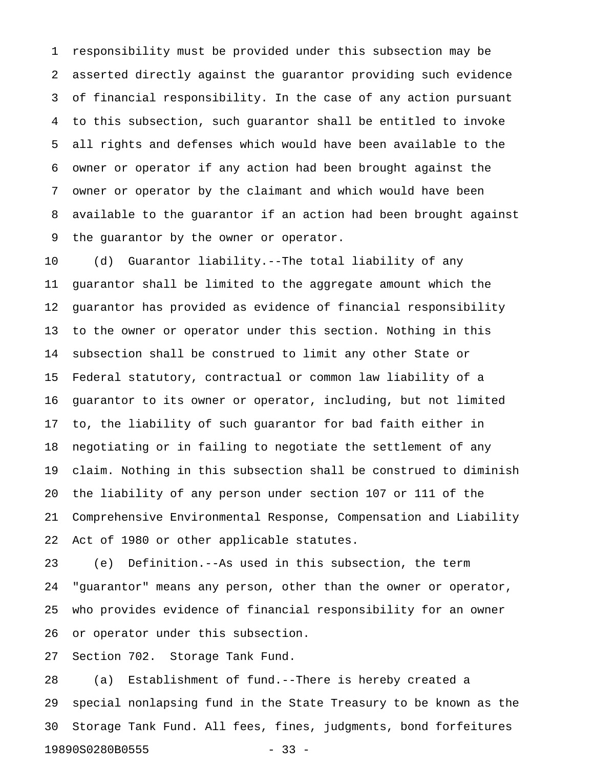1 responsibility must be provided under this subsection may be 2 asserted directly against the guarantor providing such evidence 3 of financial responsibility. In the case of any action pursuant 4 to this subsection, such guarantor shall be entitled to invoke 5 all rights and defenses which would have been available to the 6 owner or operator if any action had been brought against the 7 owner or operator by the claimant and which would have been 8 available to the guarantor if an action had been brought against 9 the guarantor by the owner or operator.

10 (d) Guarantor liability.--The total liability of any 11 guarantor shall be limited to the aggregate amount which the 12 guarantor has provided as evidence of financial responsibility 13 to the owner or operator under this section. Nothing in this 14 subsection shall be construed to limit any other State or 15 Federal statutory, contractual or common law liability of a 16 guarantor to its owner or operator, including, but not limited 17 to, the liability of such guarantor for bad faith either in 18 negotiating or in failing to negotiate the settlement of any 19 claim. Nothing in this subsection shall be construed to diminish 20 the liability of any person under section 107 or 111 of the 21 Comprehensive Environmental Response, Compensation and Liability 22 Act of 1980 or other applicable statutes.

23 (e) Definition.--As used in this subsection, the term 24 "guarantor" means any person, other than the owner or operator, 25 who provides evidence of financial responsibility for an owner 26 or operator under this subsection.

27 Section 702. Storage Tank Fund.

28 (a) Establishment of fund.--There is hereby created a 29 special nonlapsing fund in the State Treasury to be known as the 30 Storage Tank Fund. All fees, fines, judgments, bond forfeitures 19890S0280B0555 - 33 -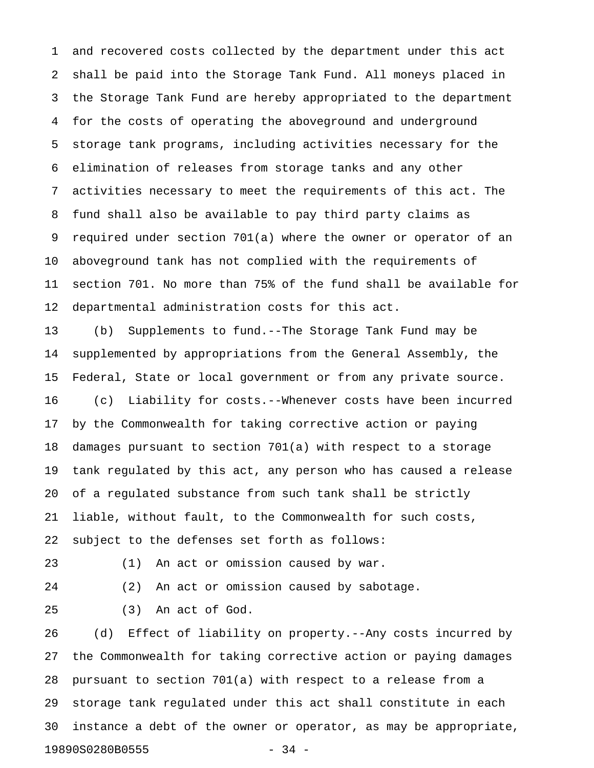1 and recovered costs collected by the department under this act 2 shall be paid into the Storage Tank Fund. All moneys placed in 3 the Storage Tank Fund are hereby appropriated to the department 4 for the costs of operating the aboveground and underground 5 storage tank programs, including activities necessary for the 6 elimination of releases from storage tanks and any other 7 activities necessary to meet the requirements of this act. The 8 fund shall also be available to pay third party claims as 9 required under section 701(a) where the owner or operator of an 10 aboveground tank has not complied with the requirements of 11 section 701. No more than 75% of the fund shall be available for 12 departmental administration costs for this act.

13 (b) Supplements to fund.--The Storage Tank Fund may be 14 supplemented by appropriations from the General Assembly, the 15 Federal, State or local government or from any private source. 16 (c) Liability for costs.--Whenever costs have been incurred 17 by the Commonwealth for taking corrective action or paying 18 damages pursuant to section 701(a) with respect to a storage 19 tank regulated by this act, any person who has caused a release 20 of a regulated substance from such tank shall be strictly 21 liable, without fault, to the Commonwealth for such costs, 22 subject to the defenses set forth as follows:

23 (1) An act or omission caused by war.

24 (2) An act or omission caused by sabotage.

25 (3) An act of God.

26 (d) Effect of liability on property.--Any costs incurred by 27 the Commonwealth for taking corrective action or paying damages 28 pursuant to section 701(a) with respect to a release from a 29 storage tank regulated under this act shall constitute in each 30 instance a debt of the owner or operator, as may be appropriate, 19890S0280B0555 - 34 -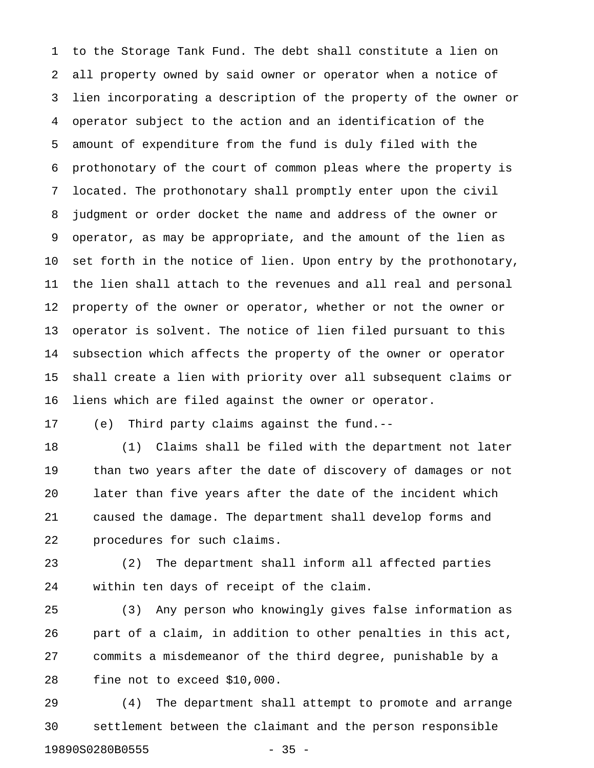1 to the Storage Tank Fund. The debt shall constitute a lien on 2 all property owned by said owner or operator when a notice of 3 lien incorporating a description of the property of the owner or 4 operator subject to the action and an identification of the 5 amount of expenditure from the fund is duly filed with the 6 prothonotary of the court of common pleas where the property is 7 located. The prothonotary shall promptly enter upon the civil 8 judgment or order docket the name and address of the owner or 9 operator, as may be appropriate, and the amount of the lien as 10 set forth in the notice of lien. Upon entry by the prothonotary, 11 the lien shall attach to the revenues and all real and personal 12 property of the owner or operator, whether or not the owner or 13 operator is solvent. The notice of lien filed pursuant to this 14 subsection which affects the property of the owner or operator 15 shall create a lien with priority over all subsequent claims or 16 liens which are filed against the owner or operator.

17 (e) Third party claims against the fund.--

18 (1) Claims shall be filed with the department not later 19 than two years after the date of discovery of damages or not 20 later than five years after the date of the incident which 21 caused the damage. The department shall develop forms and 22 procedures for such claims.

23 (2) The department shall inform all affected parties 24 within ten days of receipt of the claim.

25 (3) Any person who knowingly gives false information as 26 part of a claim, in addition to other penalties in this act, 27 commits a misdemeanor of the third degree, punishable by a 28 fine not to exceed \$10,000.

29 (4) The department shall attempt to promote and arrange 30 settlement between the claimant and the person responsible 19890S0280B0555 - 35 -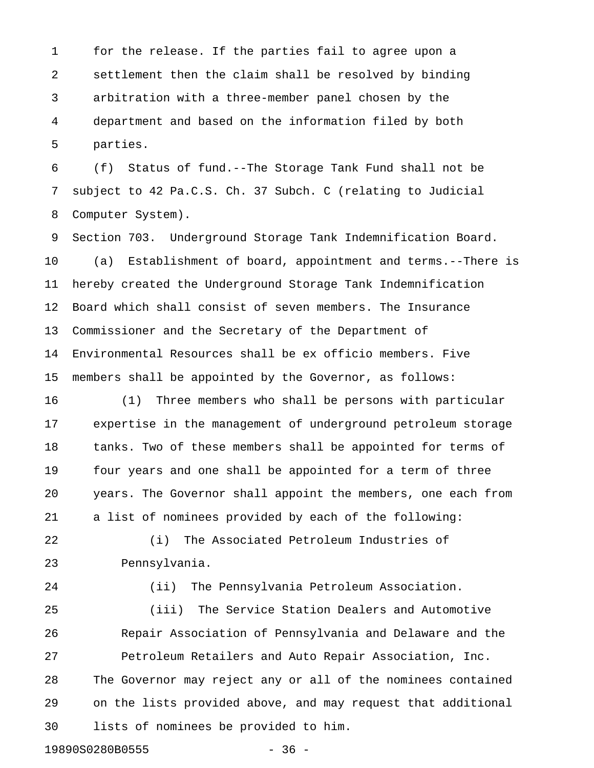1 for the release. If the parties fail to agree upon a 2 settlement then the claim shall be resolved by binding 3 arbitration with a three-member panel chosen by the 4 department and based on the information filed by both 5 parties.

6 (f) Status of fund.--The Storage Tank Fund shall not be 7 subject to 42 Pa.C.S. Ch. 37 Subch. C (relating to Judicial 8 Computer System).

9 Section 703. Underground Storage Tank Indemnification Board. 10 (a) Establishment of board, appointment and terms.--There is 11 hereby created the Underground Storage Tank Indemnification 12 Board which shall consist of seven members. The Insurance 13 Commissioner and the Secretary of the Department of 14 Environmental Resources shall be ex officio members. Five 15 members shall be appointed by the Governor, as follows:

16 (1) Three members who shall be persons with particular 17 expertise in the management of underground petroleum storage 18 tanks. Two of these members shall be appointed for terms of 19 four years and one shall be appointed for a term of three 20 years. The Governor shall appoint the members, one each from 21 a list of nominees provided by each of the following:

22 (i) The Associated Petroleum Industries of 23 Pennsylvania.

24 (ii) The Pennsylvania Petroleum Association.

25 (iii) The Service Station Dealers and Automotive 26 Repair Association of Pennsylvania and Delaware and the 27 Petroleum Retailers and Auto Repair Association, Inc. 28 The Governor may reject any or all of the nominees contained 29 on the lists provided above, and may request that additional 30 lists of nominees be provided to him.

19890S0280B0555 - 36 -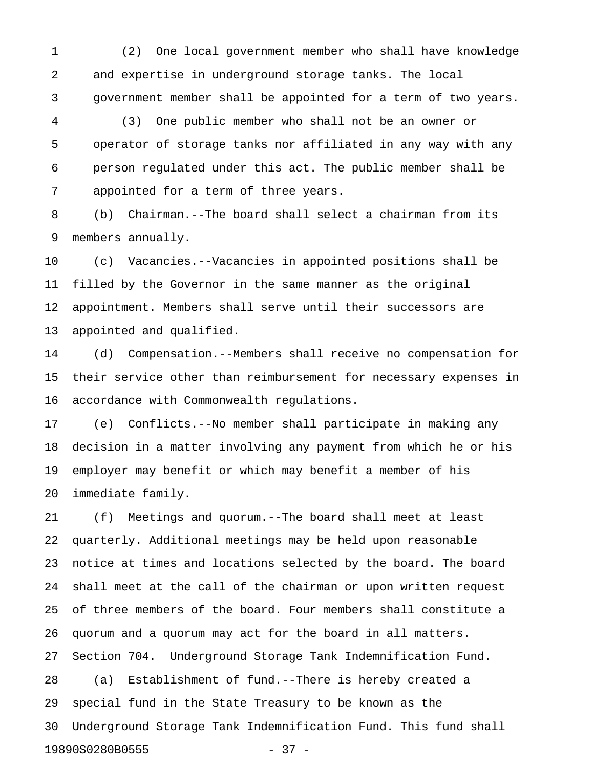1 (2) One local government member who shall have knowledge 2 and expertise in underground storage tanks. The local 3 government member shall be appointed for a term of two years.

4 (3) One public member who shall not be an owner or 5 operator of storage tanks nor affiliated in any way with any 6 person regulated under this act. The public member shall be 7 appointed for a term of three years.

8 (b) Chairman.--The board shall select a chairman from its 9 members annually.

10 (c) Vacancies.--Vacancies in appointed positions shall be 11 filled by the Governor in the same manner as the original 12 appointment. Members shall serve until their successors are 13 appointed and qualified.

14 (d) Compensation.--Members shall receive no compensation for 15 their service other than reimbursement for necessary expenses in 16 accordance with Commonwealth regulations.

17 (e) Conflicts.--No member shall participate in making any 18 decision in a matter involving any payment from which he or his 19 employer may benefit or which may benefit a member of his 20 immediate family.

21 (f) Meetings and quorum.--The board shall meet at least 22 quarterly. Additional meetings may be held upon reasonable 23 notice at times and locations selected by the board. The board 24 shall meet at the call of the chairman or upon written request 25 of three members of the board. Four members shall constitute a 26 quorum and a quorum may act for the board in all matters. 27 Section 704. Underground Storage Tank Indemnification Fund. 28 (a) Establishment of fund.--There is hereby created a 29 special fund in the State Treasury to be known as the 30 Underground Storage Tank Indemnification Fund. This fund shall 19890S0280B0555 - 37 -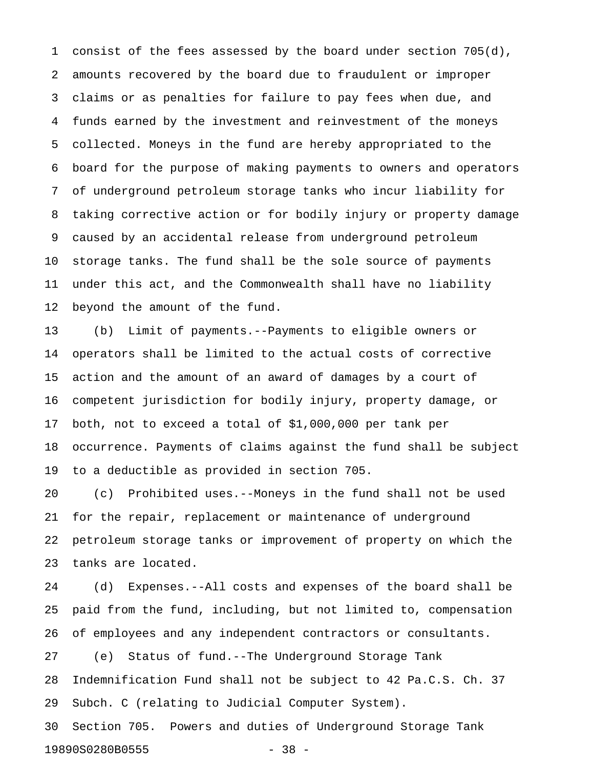1 consist of the fees assessed by the board under section 705(d), 2 amounts recovered by the board due to fraudulent or improper 3 claims or as penalties for failure to pay fees when due, and 4 funds earned by the investment and reinvestment of the moneys 5 collected. Moneys in the fund are hereby appropriated to the 6 board for the purpose of making payments to owners and operators 7 of underground petroleum storage tanks who incur liability for 8 taking corrective action or for bodily injury or property damage 9 caused by an accidental release from underground petroleum 10 storage tanks. The fund shall be the sole source of payments 11 under this act, and the Commonwealth shall have no liability 12 beyond the amount of the fund.

13 (b) Limit of payments.--Payments to eligible owners or 14 operators shall be limited to the actual costs of corrective 15 action and the amount of an award of damages by a court of 16 competent jurisdiction for bodily injury, property damage, or 17 both, not to exceed a total of \$1,000,000 per tank per 18 occurrence. Payments of claims against the fund shall be subject 19 to a deductible as provided in section 705.

20 (c) Prohibited uses.--Moneys in the fund shall not be used 21 for the repair, replacement or maintenance of underground 22 petroleum storage tanks or improvement of property on which the 23 tanks are located.

24 (d) Expenses.--All costs and expenses of the board shall be 25 paid from the fund, including, but not limited to, compensation 26 of employees and any independent contractors or consultants. 27 (e) Status of fund.--The Underground Storage Tank

28 Indemnification Fund shall not be subject to 42 Pa.C.S. Ch. 37 29 Subch. C (relating to Judicial Computer System).

30 Section 705. Powers and duties of Underground Storage Tank 19890S0280B0555 - 38 -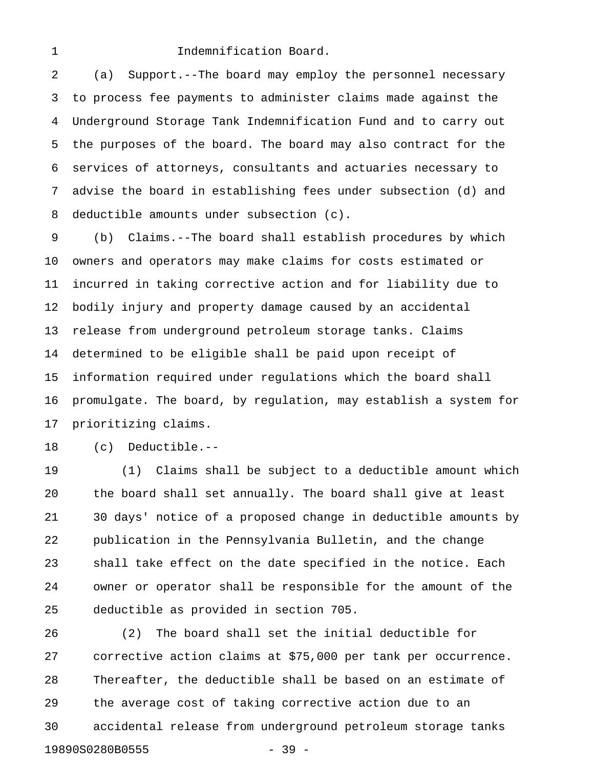#### 1 **Indemnification Board.**

2 (a) Support.--The board may employ the personnel necessary 3 to process fee payments to administer claims made against the 4 Underground Storage Tank Indemnification Fund and to carry out 5 the purposes of the board. The board may also contract for the 6 services of attorneys, consultants and actuaries necessary to 7 advise the board in establishing fees under subsection (d) and 8 deductible amounts under subsection (c).

9 (b) Claims.--The board shall establish procedures by which 10 owners and operators may make claims for costs estimated or 11 incurred in taking corrective action and for liability due to 12 bodily injury and property damage caused by an accidental 13 release from underground petroleum storage tanks. Claims 14 determined to be eligible shall be paid upon receipt of 15 information required under regulations which the board shall 16 promulgate. The board, by regulation, may establish a system for 17 prioritizing claims.

18 (c) Deductible.--

19 (1) Claims shall be subject to a deductible amount which 20 the board shall set annually. The board shall give at least 21 30 days' notice of a proposed change in deductible amounts by 22 publication in the Pennsylvania Bulletin, and the change 23 shall take effect on the date specified in the notice. Each 24 owner or operator shall be responsible for the amount of the 25 deductible as provided in section 705.

26 (2) The board shall set the initial deductible for 27 corrective action claims at \$75,000 per tank per occurrence. 28 Thereafter, the deductible shall be based on an estimate of 29 the average cost of taking corrective action due to an 30 accidental release from underground petroleum storage tanks 19890S0280B0555 - 39 -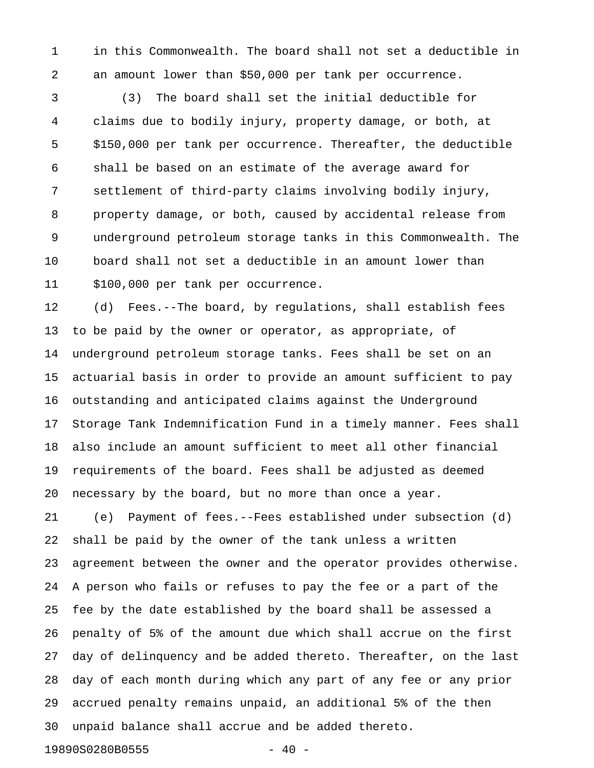1 in this Commonwealth. The board shall not set a deductible in 2 an amount lower than \$50,000 per tank per occurrence.

3 (3) The board shall set the initial deductible for 4 claims due to bodily injury, property damage, or both, at 5 \$150,000 per tank per occurrence. Thereafter, the deductible 6 shall be based on an estimate of the average award for 7 settlement of third-party claims involving bodily injury, 8 property damage, or both, caused by accidental release from 9 underground petroleum storage tanks in this Commonwealth. The 10 board shall not set a deductible in an amount lower than 11 \$100,000 per tank per occurrence.

12 (d) Fees.--The board, by regulations, shall establish fees 13 to be paid by the owner or operator, as appropriate, of 14 underground petroleum storage tanks. Fees shall be set on an 15 actuarial basis in order to provide an amount sufficient to pay 16 outstanding and anticipated claims against the Underground 17 Storage Tank Indemnification Fund in a timely manner. Fees shall 18 also include an amount sufficient to meet all other financial 19 requirements of the board. Fees shall be adjusted as deemed 20 necessary by the board, but no more than once a year.

21 (e) Payment of fees.--Fees established under subsection (d) 22 shall be paid by the owner of the tank unless a written 23 agreement between the owner and the operator provides otherwise. 24 A person who fails or refuses to pay the fee or a part of the 25 fee by the date established by the board shall be assessed a 26 penalty of 5% of the amount due which shall accrue on the first 27 day of delinquency and be added thereto. Thereafter, on the last 28 day of each month during which any part of any fee or any prior 29 accrued penalty remains unpaid, an additional 5% of the then 30 unpaid balance shall accrue and be added thereto.

19890S0280B0555 - 40 -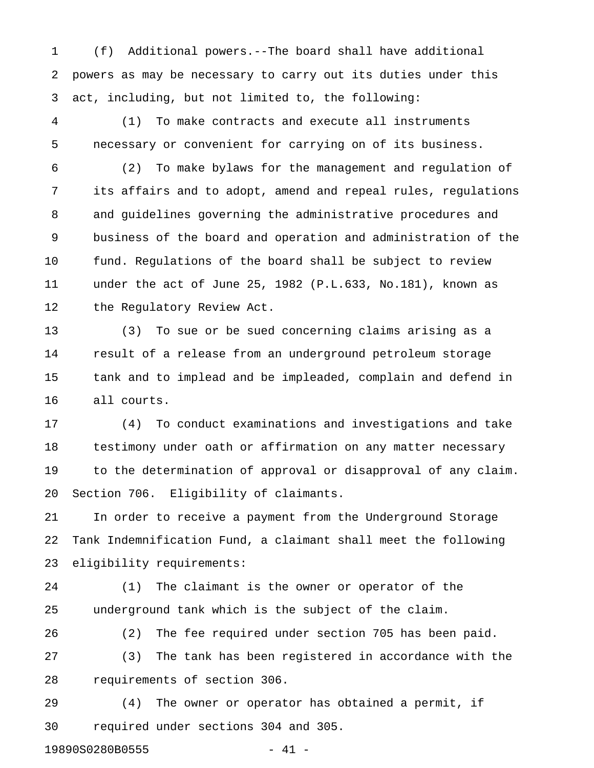1 (f) Additional powers.--The board shall have additional 2 powers as may be necessary to carry out its duties under this 3 act, including, but not limited to, the following:

4 (1) To make contracts and execute all instruments 5 necessary or convenient for carrying on of its business.

6 (2) To make bylaws for the management and regulation of 7 its affairs and to adopt, amend and repeal rules, regulations 8 and guidelines governing the administrative procedures and 9 business of the board and operation and administration of the 10 fund. Regulations of the board shall be subject to review 11 under the act of June 25, 1982 (P.L.633, No.181), known as 12 the Regulatory Review Act.

13 (3) To sue or be sued concerning claims arising as a 14 result of a release from an underground petroleum storage 15 tank and to implead and be impleaded, complain and defend in 16 all courts.

17 (4) To conduct examinations and investigations and take 18 testimony under oath or affirmation on any matter necessary 19 to the determination of approval or disapproval of any claim. 20 Section 706. Eligibility of claimants.

21 In order to receive a payment from the Underground Storage 22 Tank Indemnification Fund, a claimant shall meet the following 23 eligibility requirements:

24 (1) The claimant is the owner or operator of the 25 underground tank which is the subject of the claim.

26 (2) The fee required under section 705 has been paid. 27 (3) The tank has been registered in accordance with the 28 requirements of section 306.

29 (4) The owner or operator has obtained a permit, if 30 required under sections 304 and 305.

19890S0280B0555 - 41 -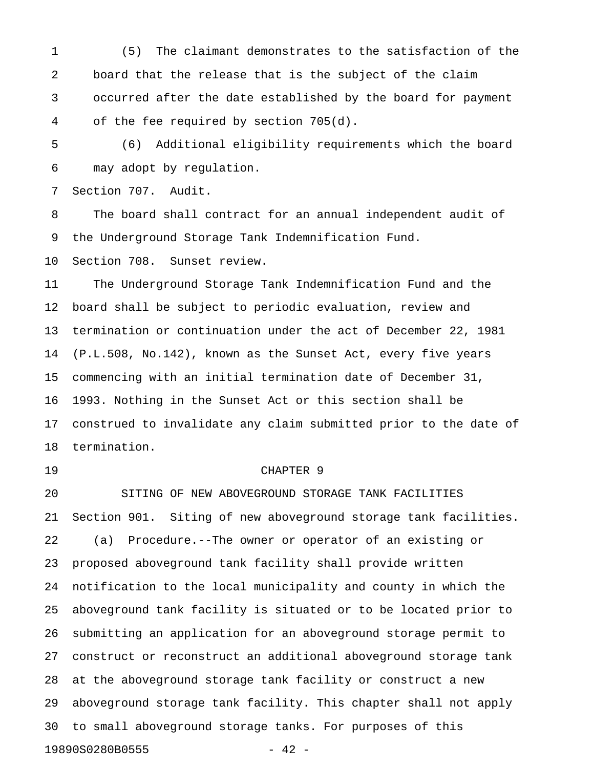1 (5) The claimant demonstrates to the satisfaction of the 2 board that the release that is the subject of the claim 3 occurred after the date established by the board for payment 4 of the fee required by section 705(d).

5 (6) Additional eligibility requirements which the board 6 may adopt by regulation.

7 Section 707. Audit.

8 The board shall contract for an annual independent audit of 9 the Underground Storage Tank Indemnification Fund.

10 Section 708. Sunset review.

11 The Underground Storage Tank Indemnification Fund and the 12 board shall be subject to periodic evaluation, review and 13 termination or continuation under the act of December 22, 1981 14 (P.L.508, No.142), known as the Sunset Act, every five years 15 commencing with an initial termination date of December 31, 16 1993. Nothing in the Sunset Act or this section shall be 17 construed to invalidate any claim submitted prior to the date of 18 termination.

### 19 CHAPTER 9

20 SITING OF NEW ABOVEGROUND STORAGE TANK FACILITIES 21 Section 901. Siting of new aboveground storage tank facilities. 22 (a) Procedure.--The owner or operator of an existing or 23 proposed aboveground tank facility shall provide written 24 notification to the local municipality and county in which the 25 aboveground tank facility is situated or to be located prior to 26 submitting an application for an aboveground storage permit to 27 construct or reconstruct an additional aboveground storage tank 28 at the aboveground storage tank facility or construct a new 29 aboveground storage tank facility. This chapter shall not apply 30 to small aboveground storage tanks. For purposes of this 19890S0280B0555 - 42 -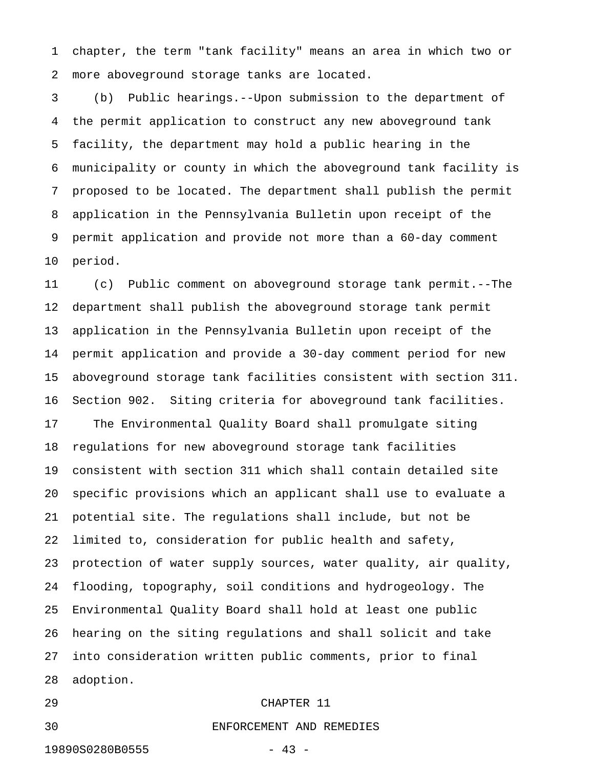1 chapter, the term "tank facility" means an area in which two or 2 more aboveground storage tanks are located.

3 (b) Public hearings.--Upon submission to the department of 4 the permit application to construct any new aboveground tank 5 facility, the department may hold a public hearing in the 6 municipality or county in which the aboveground tank facility is 7 proposed to be located. The department shall publish the permit 8 application in the Pennsylvania Bulletin upon receipt of the 9 permit application and provide not more than a 60-day comment 10 period.

11 (c) Public comment on aboveground storage tank permit.--The 12 department shall publish the aboveground storage tank permit 13 application in the Pennsylvania Bulletin upon receipt of the 14 permit application and provide a 30-day comment period for new 15 aboveground storage tank facilities consistent with section 311. 16 Section 902. Siting criteria for aboveground tank facilities. 17 The Environmental Quality Board shall promulgate siting 18 regulations for new aboveground storage tank facilities 19 consistent with section 311 which shall contain detailed site 20 specific provisions which an applicant shall use to evaluate a 21 potential site. The regulations shall include, but not be 22 limited to, consideration for public health and safety, 23 protection of water supply sources, water quality, air quality, 24 flooding, topography, soil conditions and hydrogeology. The 25 Environmental Quality Board shall hold at least one public 26 hearing on the siting regulations and shall solicit and take 27 into consideration written public comments, prior to final 28 adoption.

## 29 CHAPTER 11

30 ENFORCEMENT AND REMEDIES

19890S0280B0555 - 43 -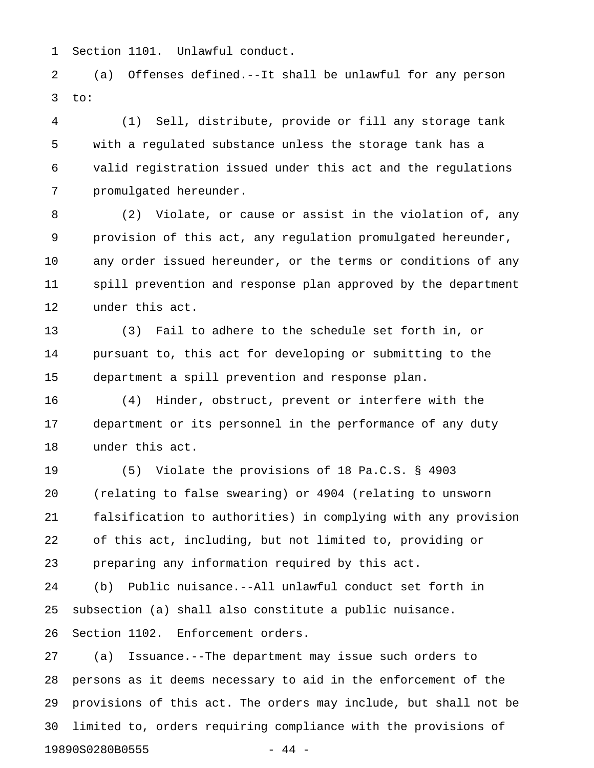1 Section 1101. Unlawful conduct.

2 (a) Offenses defined.--It shall be unlawful for any person  $3$  to:

4 (1) Sell, distribute, provide or fill any storage tank 5 with a regulated substance unless the storage tank has a 6 valid registration issued under this act and the regulations 7 promulgated hereunder.

8 (2) Violate, or cause or assist in the violation of, any 9 provision of this act, any regulation promulgated hereunder, 10 any order issued hereunder, or the terms or conditions of any 11 spill prevention and response plan approved by the department 12 under this act.

13 (3) Fail to adhere to the schedule set forth in, or 14 pursuant to, this act for developing or submitting to the 15 department a spill prevention and response plan.

16 (4) Hinder, obstruct, prevent or interfere with the 17 department or its personnel in the performance of any duty 18 under this act.

19 (5) Violate the provisions of 18 Pa.C.S. § 4903 20 (relating to false swearing) or 4904 (relating to unsworn 21 falsification to authorities) in complying with any provision 22 of this act, including, but not limited to, providing or 23 preparing any information required by this act.

24 (b) Public nuisance.--All unlawful conduct set forth in 25 subsection (a) shall also constitute a public nuisance. 26 Section 1102. Enforcement orders.

27 (a) Issuance.--The department may issue such orders to 28 persons as it deems necessary to aid in the enforcement of the 29 provisions of this act. The orders may include, but shall not be 30 limited to, orders requiring compliance with the provisions of 19890S0280B0555 - 44 -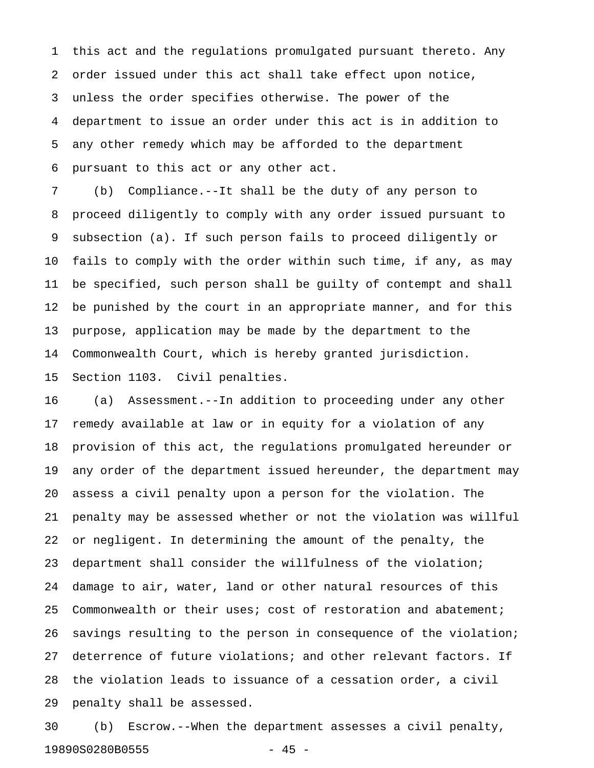1 this act and the regulations promulgated pursuant thereto. Any 2 order issued under this act shall take effect upon notice, 3 unless the order specifies otherwise. The power of the 4 department to issue an order under this act is in addition to 5 any other remedy which may be afforded to the department 6 pursuant to this act or any other act.

7 (b) Compliance.--It shall be the duty of any person to 8 proceed diligently to comply with any order issued pursuant to 9 subsection (a). If such person fails to proceed diligently or 10 fails to comply with the order within such time, if any, as may 11 be specified, such person shall be guilty of contempt and shall 12 be punished by the court in an appropriate manner, and for this 13 purpose, application may be made by the department to the 14 Commonwealth Court, which is hereby granted jurisdiction. 15 Section 1103. Civil penalties.

16 (a) Assessment.--In addition to proceeding under any other 17 remedy available at law or in equity for a violation of any 18 provision of this act, the regulations promulgated hereunder or 19 any order of the department issued hereunder, the department may 20 assess a civil penalty upon a person for the violation. The 21 penalty may be assessed whether or not the violation was willful 22 or negligent. In determining the amount of the penalty, the 23 department shall consider the willfulness of the violation; 24 damage to air, water, land or other natural resources of this 25 Commonwealth or their uses; cost of restoration and abatement; 26 savings resulting to the person in consequence of the violation; 27 deterrence of future violations; and other relevant factors. If 28 the violation leads to issuance of a cessation order, a civil 29 penalty shall be assessed.

30 (b) Escrow.--When the department assesses a civil penalty, 19890S0280B0555 - 45 -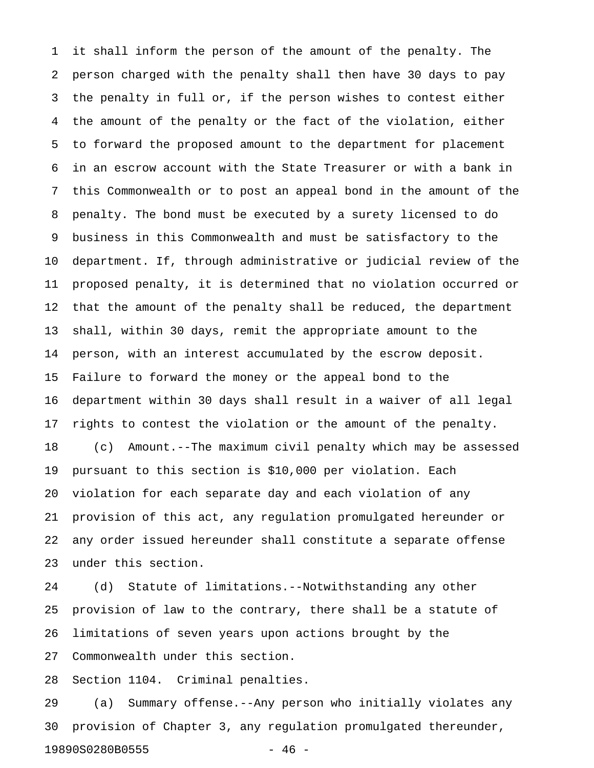1 it shall inform the person of the amount of the penalty. The 2 person charged with the penalty shall then have 30 days to pay 3 the penalty in full or, if the person wishes to contest either 4 the amount of the penalty or the fact of the violation, either 5 to forward the proposed amount to the department for placement 6 in an escrow account with the State Treasurer or with a bank in 7 this Commonwealth or to post an appeal bond in the amount of the 8 penalty. The bond must be executed by a surety licensed to do 9 business in this Commonwealth and must be satisfactory to the 10 department. If, through administrative or judicial review of the 11 proposed penalty, it is determined that no violation occurred or 12 that the amount of the penalty shall be reduced, the department 13 shall, within 30 days, remit the appropriate amount to the 14 person, with an interest accumulated by the escrow deposit. 15 Failure to forward the money or the appeal bond to the 16 department within 30 days shall result in a waiver of all legal 17 rights to contest the violation or the amount of the penalty. 18 (c) Amount.--The maximum civil penalty which may be assessed 19 pursuant to this section is \$10,000 per violation. Each 20 violation for each separate day and each violation of any 21 provision of this act, any regulation promulgated hereunder or 22 any order issued hereunder shall constitute a separate offense 23 under this section.

24 (d) Statute of limitations.--Notwithstanding any other 25 provision of law to the contrary, there shall be a statute of 26 limitations of seven years upon actions brought by the 27 Commonwealth under this section.

28 Section 1104. Criminal penalties.

29 (a) Summary offense.--Any person who initially violates any 30 provision of Chapter 3, any regulation promulgated thereunder, 19890S0280B0555 - 46 -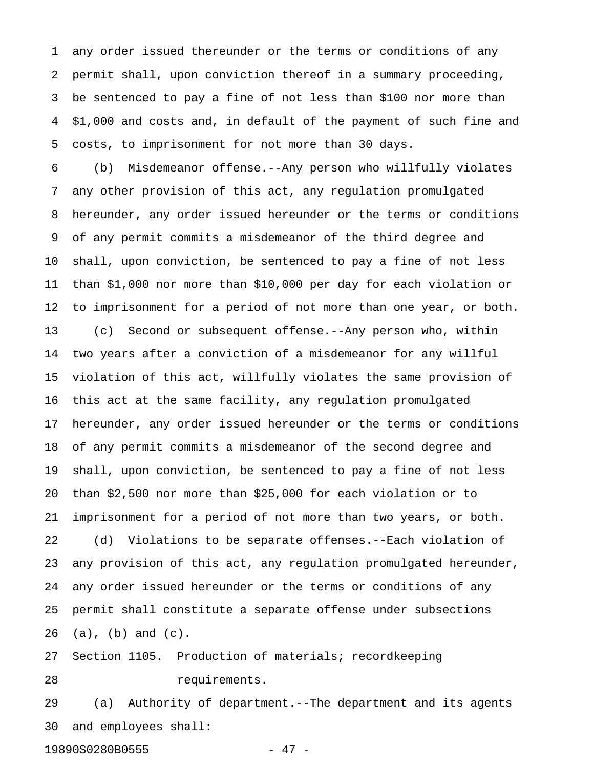1 any order issued thereunder or the terms or conditions of any 2 permit shall, upon conviction thereof in a summary proceeding, 3 be sentenced to pay a fine of not less than \$100 nor more than 4 \$1,000 and costs and, in default of the payment of such fine and 5 costs, to imprisonment for not more than 30 days.

6 (b) Misdemeanor offense.--Any person who willfully violates 7 any other provision of this act, any regulation promulgated 8 hereunder, any order issued hereunder or the terms or conditions 9 of any permit commits a misdemeanor of the third degree and 10 shall, upon conviction, be sentenced to pay a fine of not less 11 than \$1,000 nor more than \$10,000 per day for each violation or 12 to imprisonment for a period of not more than one year, or both. 13 (c) Second or subsequent offense.--Any person who, within 14 two years after a conviction of a misdemeanor for any willful 15 violation of this act, willfully violates the same provision of 16 this act at the same facility, any regulation promulgated 17 hereunder, any order issued hereunder or the terms or conditions 18 of any permit commits a misdemeanor of the second degree and 19 shall, upon conviction, be sentenced to pay a fine of not less 20 than \$2,500 nor more than \$25,000 for each violation or to 21 imprisonment for a period of not more than two years, or both. 22 (d) Violations to be separate offenses.--Each violation of 23 any provision of this act, any regulation promulgated hereunder, 24 any order issued hereunder or the terms or conditions of any 25 permit shall constitute a separate offense under subsections 26 (a), (b) and (c).

27 Section 1105. Production of materials; recordkeeping 28 requirements.

29 (a) Authority of department.--The department and its agents 30 and employees shall:

19890S0280B0555 - 47 -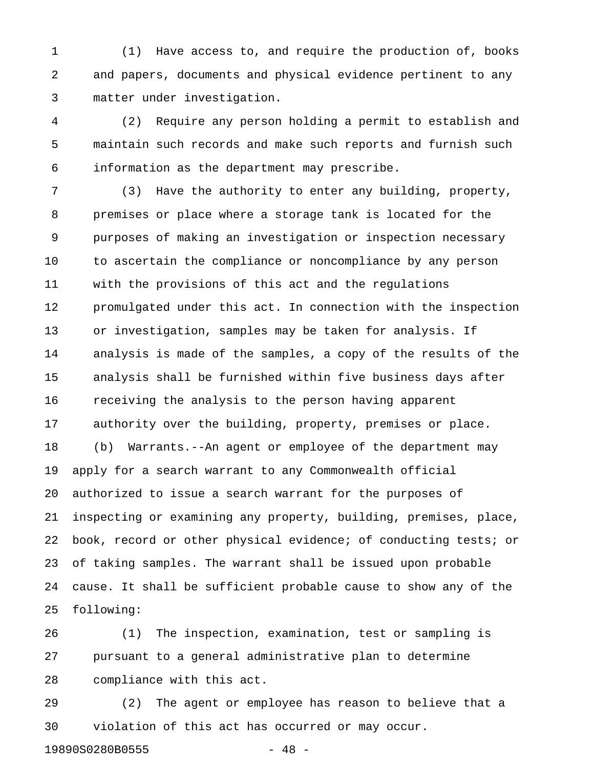1 (1) Have access to, and require the production of, books 2 and papers, documents and physical evidence pertinent to any 3 matter under investigation.

4 (2) Require any person holding a permit to establish and 5 maintain such records and make such reports and furnish such 6 information as the department may prescribe.

7 (3) Have the authority to enter any building, property, 8 premises or place where a storage tank is located for the 9 purposes of making an investigation or inspection necessary 10 to ascertain the compliance or noncompliance by any person 11 with the provisions of this act and the regulations 12 promulgated under this act. In connection with the inspection 13 or investigation, samples may be taken for analysis. If 14 analysis is made of the samples, a copy of the results of the 15 analysis shall be furnished within five business days after 16 receiving the analysis to the person having apparent 17 authority over the building, property, premises or place. 18 (b) Warrants.--An agent or employee of the department may 19 apply for a search warrant to any Commonwealth official 20 authorized to issue a search warrant for the purposes of 21 inspecting or examining any property, building, premises, place, 22 book, record or other physical evidence; of conducting tests; or 23 of taking samples. The warrant shall be issued upon probable 24 cause. It shall be sufficient probable cause to show any of the 25 following:

26 (1) The inspection, examination, test or sampling is 27 pursuant to a general administrative plan to determine 28 compliance with this act.

29 (2) The agent or employee has reason to believe that a 30 violation of this act has occurred or may occur.

19890S0280B0555 - 48 -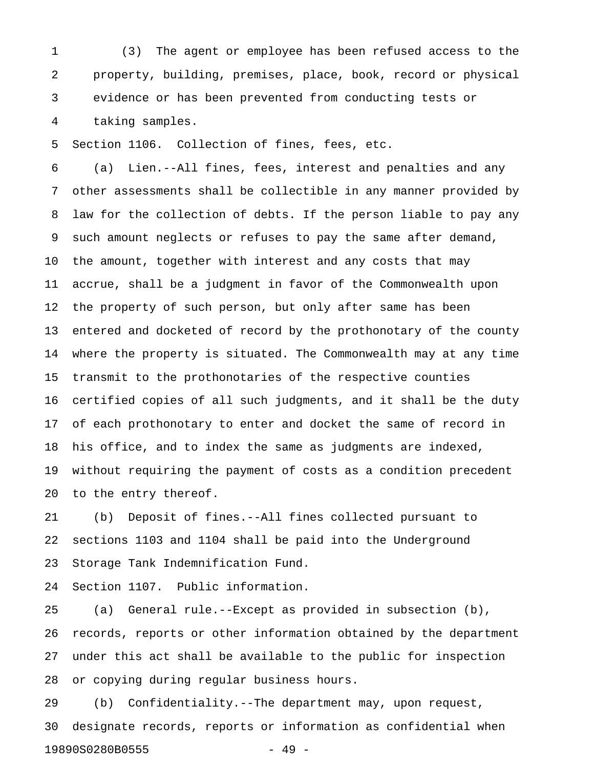1 (3) The agent or employee has been refused access to the 2 property, building, premises, place, book, record or physical 3 evidence or has been prevented from conducting tests or 4 taking samples.

5 Section 1106. Collection of fines, fees, etc.

6 (a) Lien.--All fines, fees, interest and penalties and any 7 other assessments shall be collectible in any manner provided by 8 law for the collection of debts. If the person liable to pay any 9 such amount neglects or refuses to pay the same after demand, 10 the amount, together with interest and any costs that may 11 accrue, shall be a judgment in favor of the Commonwealth upon 12 the property of such person, but only after same has been 13 entered and docketed of record by the prothonotary of the county 14 where the property is situated. The Commonwealth may at any time 15 transmit to the prothonotaries of the respective counties 16 certified copies of all such judgments, and it shall be the duty 17 of each prothonotary to enter and docket the same of record in 18 his office, and to index the same as judgments are indexed, 19 without requiring the payment of costs as a condition precedent 20 to the entry thereof.

21 (b) Deposit of fines.--All fines collected pursuant to 22 sections 1103 and 1104 shall be paid into the Underground 23 Storage Tank Indemnification Fund.

24 Section 1107. Public information.

25 (a) General rule.--Except as provided in subsection (b), 26 records, reports or other information obtained by the department 27 under this act shall be available to the public for inspection 28 or copying during regular business hours.

29 (b) Confidentiality.--The department may, upon request, 30 designate records, reports or information as confidential when 19890S0280B0555 - 49 -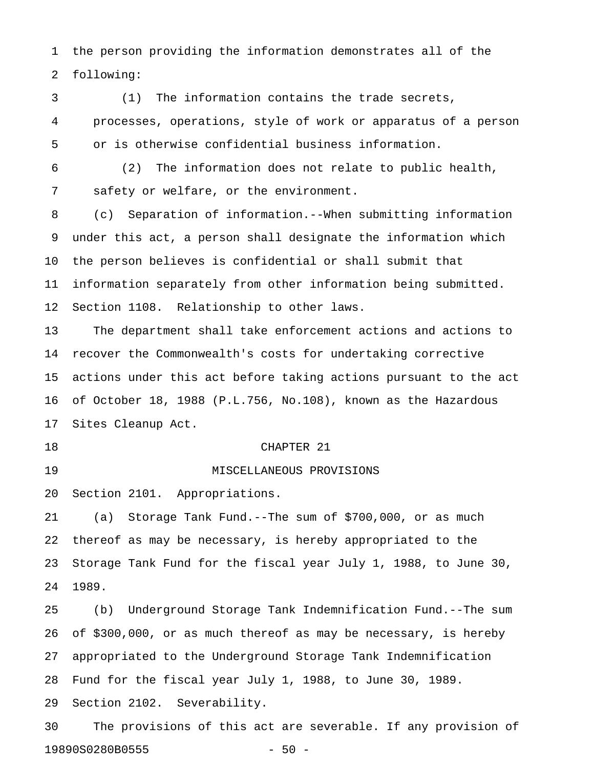1 the person providing the information demonstrates all of the 2 following:

3 (1) The information contains the trade secrets, 4 processes, operations, style of work or apparatus of a person 5 or is otherwise confidential business information.

6 (2) The information does not relate to public health, 7 safety or welfare, or the environment.

8 (c) Separation of information.--When submitting information 9 under this act, a person shall designate the information which 10 the person believes is confidential or shall submit that 11 information separately from other information being submitted. 12 Section 1108. Relationship to other laws.

13 The department shall take enforcement actions and actions to 14 recover the Commonwealth's costs for undertaking corrective 15 actions under this act before taking actions pursuant to the act 16 of October 18, 1988 (P.L.756, No.108), known as the Hazardous 17 Sites Cleanup Act.

18 CHAPTER 21

19 MISCELLANEOUS PROVISIONS

20 Section 2101. Appropriations.

21 (a) Storage Tank Fund.--The sum of \$700,000, or as much 22 thereof as may be necessary, is hereby appropriated to the 23 Storage Tank Fund for the fiscal year July 1, 1988, to June 30, 24 1989.

25 (b) Underground Storage Tank Indemnification Fund.--The sum 26 of \$300,000, or as much thereof as may be necessary, is hereby 27 appropriated to the Underground Storage Tank Indemnification 28 Fund for the fiscal year July 1, 1988, to June 30, 1989. 29 Section 2102. Severability.

30 The provisions of this act are severable. If any provision of 19890S0280B0555 - 50 -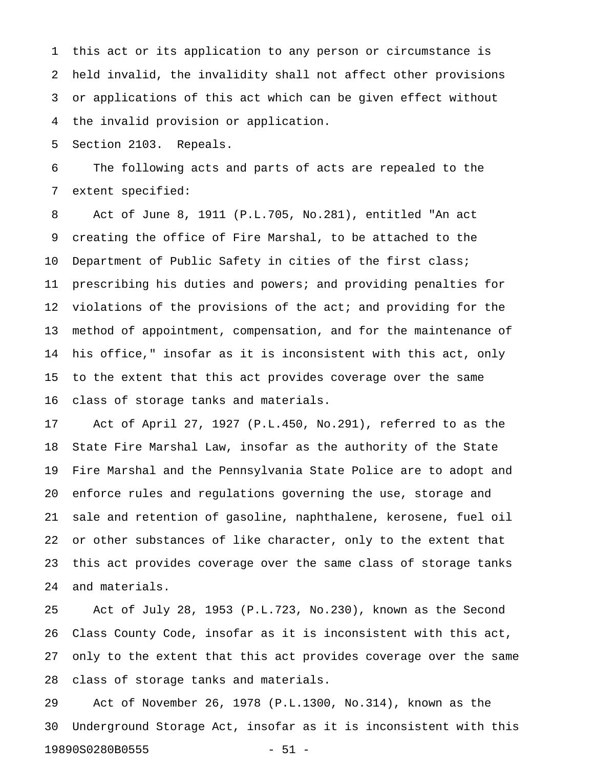1 this act or its application to any person or circumstance is 2 held invalid, the invalidity shall not affect other provisions 3 or applications of this act which can be given effect without 4 the invalid provision or application.

5 Section 2103. Repeals.

6 The following acts and parts of acts are repealed to the 7 extent specified:

8 Act of June 8, 1911 (P.L.705, No.281), entitled "An act 9 creating the office of Fire Marshal, to be attached to the 10 Department of Public Safety in cities of the first class; 11 prescribing his duties and powers; and providing penalties for 12 violations of the provisions of the act; and providing for the 13 method of appointment, compensation, and for the maintenance of 14 his office," insofar as it is inconsistent with this act, only 15 to the extent that this act provides coverage over the same 16 class of storage tanks and materials.

17 Act of April 27, 1927 (P.L.450, No.291), referred to as the 18 State Fire Marshal Law, insofar as the authority of the State 19 Fire Marshal and the Pennsylvania State Police are to adopt and 20 enforce rules and regulations governing the use, storage and 21 sale and retention of gasoline, naphthalene, kerosene, fuel oil 22 or other substances of like character, only to the extent that 23 this act provides coverage over the same class of storage tanks 24 and materials.

25 Act of July 28, 1953 (P.L.723, No.230), known as the Second 26 Class County Code, insofar as it is inconsistent with this act, 27 only to the extent that this act provides coverage over the same 28 class of storage tanks and materials.

29 Act of November 26, 1978 (P.L.1300, No.314), known as the 30 Underground Storage Act, insofar as it is inconsistent with this 19890S0280B0555 - 51 -